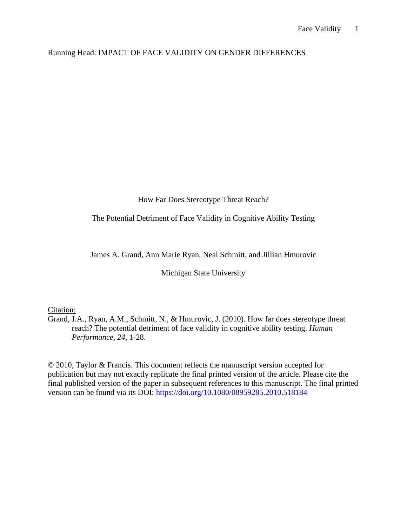# Running Head: IMPACT OF FACE VALIDITY ON GENDER DIFFERENCES

How Far Does Stereotype Threat Reach?

The Potential Detriment of Face Validity in Cognitive Ability Testing

James A. Grand, Ann Marie Ryan, Neal Schmitt, and Jillian Hmurovic

Michigan State University

# Citation:

Grand, J.A., Ryan, A.M., Schmitt, N., & Hmurovic, J. (2010). How far does stereotype threat reach? The potential detriment of face validity in cognitive ability testing. *Human Performance, 24*, 1-28.

© 2010, Taylor & Francis. This document reflects the manuscript version accepted for publication but may not exactly replicate the final printed version of the article. Please cite the final published version of the paper in subsequent references to this manuscript. The final printed version can be found via its DOI:<https://doi.org/10.1080/08959285.2010.518184>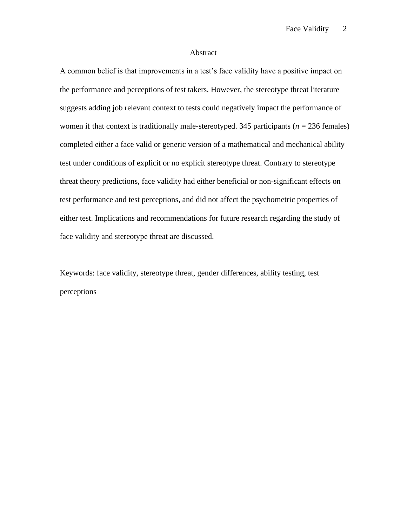### Abstract

A common belief is that improvements in a test's face validity have a positive impact on the performance and perceptions of test takers. However, the stereotype threat literature suggests adding job relevant context to tests could negatively impact the performance of women if that context is traditionally male-stereotyped. 345 participants ( $n = 236$  females) completed either a face valid or generic version of a mathematical and mechanical ability test under conditions of explicit or no explicit stereotype threat. Contrary to stereotype threat theory predictions, face validity had either beneficial or non-significant effects on test performance and test perceptions, and did not affect the psychometric properties of either test. Implications and recommendations for future research regarding the study of face validity and stereotype threat are discussed.

Keywords: face validity, stereotype threat, gender differences, ability testing, test perceptions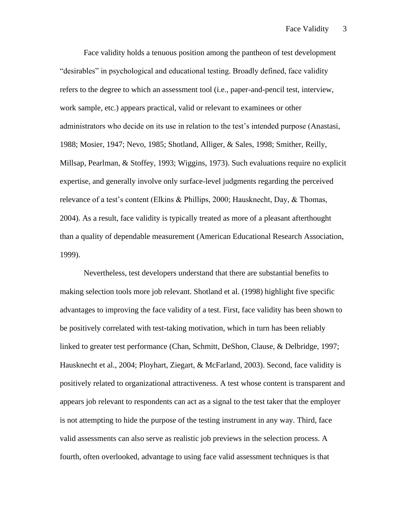Face validity holds a tenuous position among the pantheon of test development "desirables" in psychological and educational testing. Broadly defined, face validity refers to the degree to which an assessment tool (i.e., paper-and-pencil test, interview, work sample, etc.) appears practical, valid or relevant to examinees or other administrators who decide on its use in relation to the test's intended purpose (Anastasi, 1988; Mosier, 1947; Nevo, 1985; Shotland, Alliger, & Sales, 1998; Smither, Reilly, Millsap, Pearlman, & Stoffey, 1993; Wiggins, 1973). Such evaluations require no explicit expertise, and generally involve only surface-level judgments regarding the perceived relevance of a test's content (Elkins & Phillips, 2000; Hausknecht, Day, & Thomas, 2004). As a result, face validity is typically treated as more of a pleasant afterthought than a quality of dependable measurement (American Educational Research Association, 1999).

Nevertheless, test developers understand that there are substantial benefits to making selection tools more job relevant. Shotland et al. (1998) highlight five specific advantages to improving the face validity of a test. First, face validity has been shown to be positively correlated with test-taking motivation, which in turn has been reliably linked to greater test performance (Chan, Schmitt, DeShon, Clause, & Delbridge, 1997; Hausknecht et al., 2004; Ployhart, Ziegart, & McFarland, 2003). Second, face validity is positively related to organizational attractiveness. A test whose content is transparent and appears job relevant to respondents can act as a signal to the test taker that the employer is not attempting to hide the purpose of the testing instrument in any way. Third, face valid assessments can also serve as realistic job previews in the selection process. A fourth, often overlooked, advantage to using face valid assessment techniques is that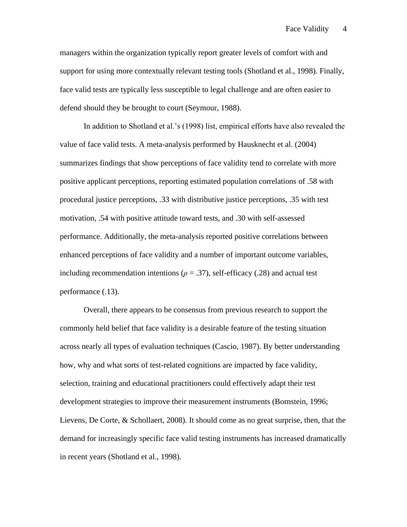managers within the organization typically report greater levels of comfort with and support for using more contextually relevant testing tools (Shotland et al., 1998). Finally, face valid tests are typically less susceptible to legal challenge and are often easier to defend should they be brought to court (Seymour, 1988).

In addition to Shotland et al.'s (1998) list, empirical efforts have also revealed the value of face valid tests. A meta-analysis performed by Hausknecht et al. (2004) summarizes findings that show perceptions of face validity tend to correlate with more positive applicant perceptions, reporting estimated population correlations of .58 with procedural justice perceptions, .33 with distributive justice perceptions, .35 with test motivation, .54 with positive attitude toward tests, and .30 with self-assessed performance. Additionally, the meta-analysis reported positive correlations between enhanced perceptions of face validity and a number of important outcome variables, including recommendation intentions ( $\rho = .37$ ), self-efficacy (.28) and actual test performance (.13).

Overall, there appears to be consensus from previous research to support the commonly held belief that face validity is a desirable feature of the testing situation across nearly all types of evaluation techniques (Cascio, 1987). By better understanding how, why and what sorts of test-related cognitions are impacted by face validity, selection, training and educational practitioners could effectively adapt their test development strategies to improve their measurement instruments (Bornstein, 1996; Lievens, De Corte, & Schollaert, 2008). It should come as no great surprise, then, that the demand for increasingly specific face valid testing instruments has increased dramatically in recent years (Shotland et al., 1998).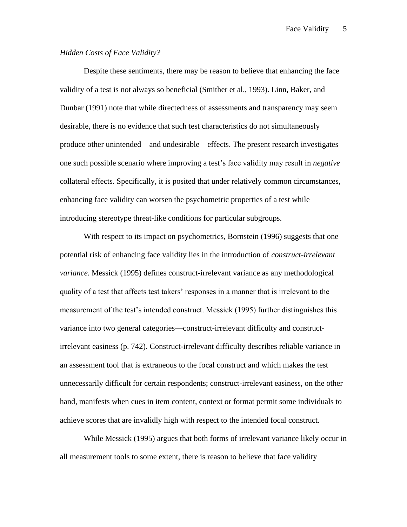## *Hidden Costs of Face Validity?*

Despite these sentiments, there may be reason to believe that enhancing the face validity of a test is not always so beneficial (Smither et al., 1993). Linn, Baker, and Dunbar (1991) note that while directedness of assessments and transparency may seem desirable, there is no evidence that such test characteristics do not simultaneously produce other unintended—and undesirable—effects. The present research investigates one such possible scenario where improving a test's face validity may result in *negative*  collateral effects. Specifically, it is posited that under relatively common circumstances, enhancing face validity can worsen the psychometric properties of a test while introducing stereotype threat-like conditions for particular subgroups.

With respect to its impact on psychometrics, Bornstein (1996) suggests that one potential risk of enhancing face validity lies in the introduction of *construct-irrelevant variance*. Messick (1995) defines construct-irrelevant variance as any methodological quality of a test that affects test takers' responses in a manner that is irrelevant to the measurement of the test's intended construct. Messick (1995) further distinguishes this variance into two general categories—construct-irrelevant difficulty and constructirrelevant easiness (p. 742). Construct-irrelevant difficulty describes reliable variance in an assessment tool that is extraneous to the focal construct and which makes the test unnecessarily difficult for certain respondents; construct-irrelevant easiness, on the other hand, manifests when cues in item content, context or format permit some individuals to achieve scores that are invalidly high with respect to the intended focal construct.

While Messick (1995) argues that both forms of irrelevant variance likely occur in all measurement tools to some extent, there is reason to believe that face validity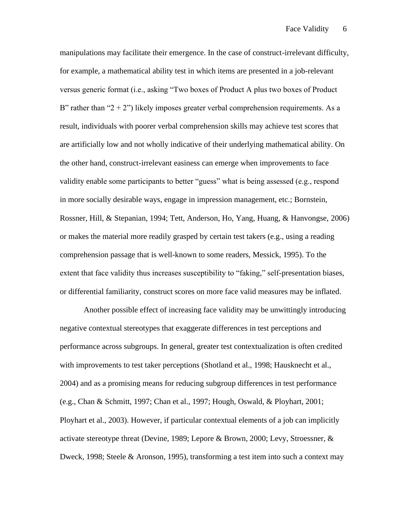manipulations may facilitate their emergence. In the case of construct-irrelevant difficulty, for example, a mathematical ability test in which items are presented in a job-relevant versus generic format (i.e., asking "Two boxes of Product A plus two boxes of Product B" rather than " $2 + 2$ ") likely imposes greater verbal comprehension requirements. As a result, individuals with poorer verbal comprehension skills may achieve test scores that are artificially low and not wholly indicative of their underlying mathematical ability. On the other hand, construct-irrelevant easiness can emerge when improvements to face validity enable some participants to better "guess" what is being assessed (e.g., respond in more socially desirable ways, engage in impression management, etc.; Bornstein, Rossner, Hill, & Stepanian, 1994; Tett, Anderson, Ho, Yang, Huang, & Hanvongse, 2006) or makes the material more readily grasped by certain test takers (e.g., using a reading comprehension passage that is well-known to some readers, Messick, 1995). To the extent that face validity thus increases susceptibility to "faking," self-presentation biases, or differential familiarity, construct scores on more face valid measures may be inflated.

Another possible effect of increasing face validity may be unwittingly introducing negative contextual stereotypes that exaggerate differences in test perceptions and performance across subgroups. In general, greater test contextualization is often credited with improvements to test taker perceptions (Shotland et al., 1998; Hausknecht et al., 2004) and as a promising means for reducing subgroup differences in test performance (e.g., Chan & Schmitt, 1997; Chan et al., 1997; Hough, Oswald, & Ployhart, 2001; Ployhart et al., 2003). However, if particular contextual elements of a job can implicitly activate stereotype threat (Devine, 1989; Lepore & Brown, 2000; Levy, Stroessner, & Dweck, 1998; Steele & Aronson, 1995), transforming a test item into such a context may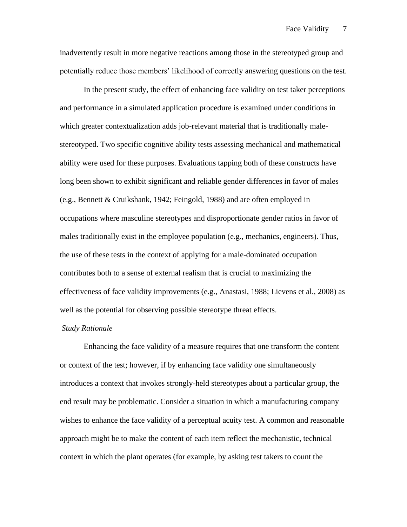inadvertently result in more negative reactions among those in the stereotyped group and potentially reduce those members' likelihood of correctly answering questions on the test.

In the present study, the effect of enhancing face validity on test taker perceptions and performance in a simulated application procedure is examined under conditions in which greater contextualization adds job-relevant material that is traditionally malestereotyped. Two specific cognitive ability tests assessing mechanical and mathematical ability were used for these purposes. Evaluations tapping both of these constructs have long been shown to exhibit significant and reliable gender differences in favor of males (e.g., Bennett & Cruikshank, 1942; Feingold, 1988) and are often employed in occupations where masculine stereotypes and disproportionate gender ratios in favor of males traditionally exist in the employee population (e.g., mechanics, engineers). Thus, the use of these tests in the context of applying for a male-dominated occupation contributes both to a sense of external realism that is crucial to maximizing the effectiveness of face validity improvements (e.g., Anastasi, 1988; Lievens et al., 2008) as well as the potential for observing possible stereotype threat effects.

### *Study Rationale*

Enhancing the face validity of a measure requires that one transform the content or context of the test; however, if by enhancing face validity one simultaneously introduces a context that invokes strongly-held stereotypes about a particular group, the end result may be problematic. Consider a situation in which a manufacturing company wishes to enhance the face validity of a perceptual acuity test. A common and reasonable approach might be to make the content of each item reflect the mechanistic, technical context in which the plant operates (for example, by asking test takers to count the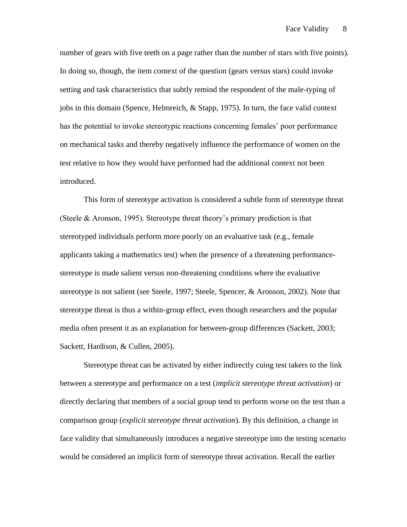number of gears with five teeth on a page rather than the number of stars with five points). In doing so, though, the item context of the question (gears versus stars) could invoke setting and task characteristics that subtly remind the respondent of the male-typing of jobs in this domain (Spence, Helmreich, & Stapp, 1975). In turn, the face valid context has the potential to invoke stereotypic reactions concerning females' poor performance on mechanical tasks and thereby negatively influence the performance of women on the test relative to how they would have performed had the additional context not been introduced.

This form of stereotype activation is considered a subtle form of stereotype threat (Steele & Aronson, 1995). Stereotype threat theory's primary prediction is that stereotyped individuals perform more poorly on an evaluative task (e.g., female applicants taking a mathematics test) when the presence of a threatening performancestereotype is made salient versus non-threatening conditions where the evaluative stereotype is not salient (see Steele, 1997; Steele, Spencer, & Aronson, 2002). Note that stereotype threat is thus a within-group effect, even though researchers and the popular media often present it as an explanation for between-group differences (Sackett, 2003; Sackett, Hardison, & Cullen, 2005).

Stereotype threat can be activated by either indirectly cuing test takers to the link between a stereotype and performance on a test (*implicit stereotype threat activation*) or directly declaring that members of a social group tend to perform worse on the test than a comparison group (*explicit stereotype threat activation*). By this definition, a change in face validity that simultaneously introduces a negative stereotype into the testing scenario would be considered an implicit form of stereotype threat activation. Recall the earlier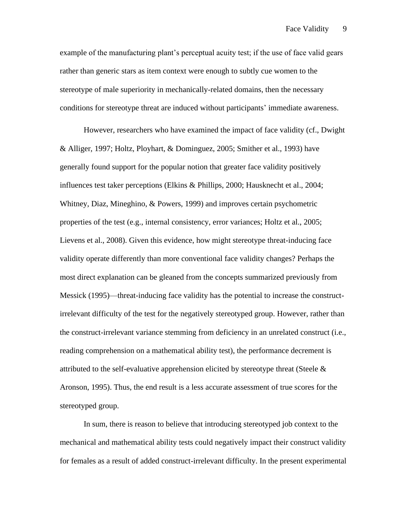example of the manufacturing plant's perceptual acuity test; if the use of face valid gears rather than generic stars as item context were enough to subtly cue women to the stereotype of male superiority in mechanically-related domains, then the necessary conditions for stereotype threat are induced without participants' immediate awareness.

However, researchers who have examined the impact of face validity (cf., Dwight & Alliger, 1997; Holtz, Ployhart, & Dominguez, 2005; Smither et al., 1993) have generally found support for the popular notion that greater face validity positively influences test taker perceptions (Elkins & Phillips, 2000; Hausknecht et al., 2004; Whitney, Diaz, Mineghino, & Powers, 1999) and improves certain psychometric properties of the test (e.g., internal consistency, error variances; Holtz et al., 2005; Lievens et al., 2008). Given this evidence, how might stereotype threat-inducing face validity operate differently than more conventional face validity changes? Perhaps the most direct explanation can be gleaned from the concepts summarized previously from Messick (1995)—threat-inducing face validity has the potential to increase the constructirrelevant difficulty of the test for the negatively stereotyped group. However, rather than the construct-irrelevant variance stemming from deficiency in an unrelated construct (i.e., reading comprehension on a mathematical ability test), the performance decrement is attributed to the self-evaluative apprehension elicited by stereotype threat (Steele & Aronson, 1995). Thus, the end result is a less accurate assessment of true scores for the stereotyped group.

In sum, there is reason to believe that introducing stereotyped job context to the mechanical and mathematical ability tests could negatively impact their construct validity for females as a result of added construct-irrelevant difficulty. In the present experimental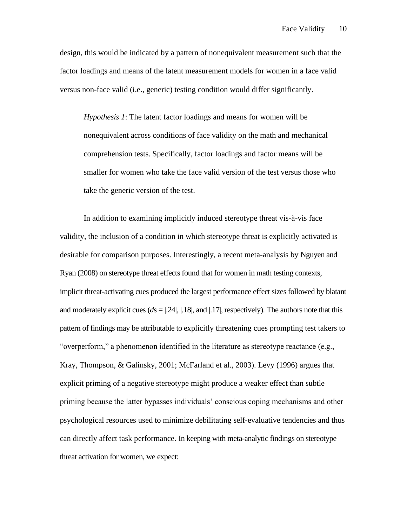design, this would be indicated by a pattern of nonequivalent measurement such that the factor loadings and means of the latent measurement models for women in a face valid versus non-face valid (i.e., generic) testing condition would differ significantly.

*Hypothesis 1*: The latent factor loadings and means for women will be nonequivalent across conditions of face validity on the math and mechanical comprehension tests. Specifically, factor loadings and factor means will be smaller for women who take the face valid version of the test versus those who take the generic version of the test.

In addition to examining implicitly induced stereotype threat vis-à-vis face validity, the inclusion of a condition in which stereotype threat is explicitly activated is desirable for comparison purposes. Interestingly, a recent meta-analysis by Nguyen and Ryan (2008) on stereotype threat effects found that for women in math testing contexts, implicit threat-activating cues produced the largest performance effect sizes followed by blatant and moderately explicit cues  $(ds = |.24|, |.18|, \text{ and } |.17|, \text{respectively})$ . The authors note that this pattern of findings may be attributable to explicitly threatening cues prompting test takers to "overperform," a phenomenon identified in the literature as stereotype reactance (e.g., Kray, Thompson, & Galinsky, 2001; McFarland et al., 2003). Levy (1996) argues that explicit priming of a negative stereotype might produce a weaker effect than subtle priming because the latter bypasses individuals' conscious coping mechanisms and other psychological resources used to minimize debilitating self-evaluative tendencies and thus can directly affect task performance. In keeping with meta-analytic findings on stereotype threat activation for women, we expect: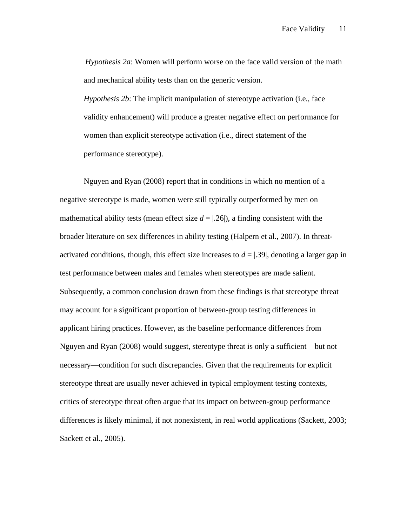*Hypothesis 2a*: Women will perform worse on the face valid version of the math and mechanical ability tests than on the generic version.

*Hypothesis 2b*: The implicit manipulation of stereotype activation (i.e., face validity enhancement) will produce a greater negative effect on performance for women than explicit stereotype activation (i.e., direct statement of the performance stereotype).

Nguyen and Ryan (2008) report that in conditions in which no mention of a negative stereotype is made, women were still typically outperformed by men on mathematical ability tests (mean effect size  $d = |26|$ ), a finding consistent with the broader literature on sex differences in ability testing (Halpern et al., 2007). In threatactivated conditions, though, this effect size increases to  $d = 0.39$ , denoting a larger gap in test performance between males and females when stereotypes are made salient. Subsequently, a common conclusion drawn from these findings is that stereotype threat may account for a significant proportion of between-group testing differences in applicant hiring practices. However, as the baseline performance differences from Nguyen and Ryan (2008) would suggest, stereotype threat is only a sufficient—but not necessary—condition for such discrepancies. Given that the requirements for explicit stereotype threat are usually never achieved in typical employment testing contexts, critics of stereotype threat often argue that its impact on between-group performance differences is likely minimal, if not nonexistent, in real world applications (Sackett, 2003; Sackett et al., 2005).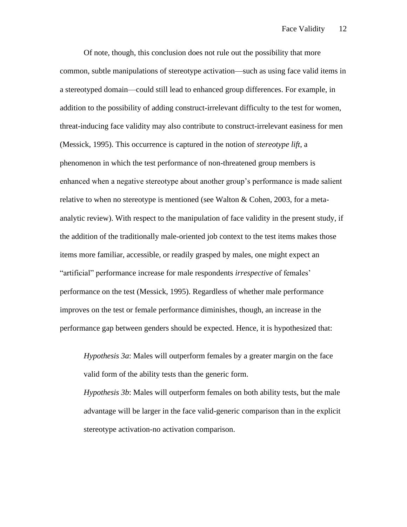Of note, though, this conclusion does not rule out the possibility that more common, subtle manipulations of stereotype activation—such as using face valid items in a stereotyped domain—could still lead to enhanced group differences. For example, in addition to the possibility of adding construct-irrelevant difficulty to the test for women, threat-inducing face validity may also contribute to construct-irrelevant easiness for men (Messick, 1995). This occurrence is captured in the notion of *stereotype lift*, a phenomenon in which the test performance of non-threatened group members is enhanced when a negative stereotype about another group's performance is made salient relative to when no stereotype is mentioned (see Walton & Cohen, 2003, for a metaanalytic review). With respect to the manipulation of face validity in the present study, if the addition of the traditionally male-oriented job context to the test items makes those items more familiar, accessible, or readily grasped by males, one might expect an "artificial" performance increase for male respondents *irrespective* of females' performance on the test (Messick, 1995). Regardless of whether male performance improves on the test or female performance diminishes, though, an increase in the performance gap between genders should be expected. Hence, it is hypothesized that:

*Hypothesis 3a*: Males will outperform females by a greater margin on the face valid form of the ability tests than the generic form.

*Hypothesis 3b*: Males will outperform females on both ability tests, but the male advantage will be larger in the face valid-generic comparison than in the explicit stereotype activation-no activation comparison.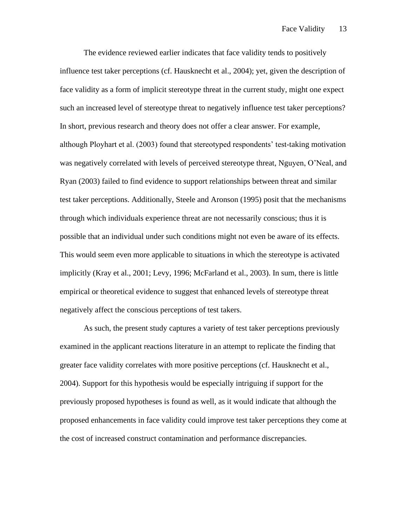The evidence reviewed earlier indicates that face validity tends to positively influence test taker perceptions (cf. Hausknecht et al., 2004); yet, given the description of face validity as a form of implicit stereotype threat in the current study, might one expect such an increased level of stereotype threat to negatively influence test taker perceptions? In short, previous research and theory does not offer a clear answer. For example, although Ployhart et al. (2003) found that stereotyped respondents' test-taking motivation was negatively correlated with levels of perceived stereotype threat, Nguyen, O'Neal, and Ryan (2003) failed to find evidence to support relationships between threat and similar test taker perceptions. Additionally, Steele and Aronson (1995) posit that the mechanisms through which individuals experience threat are not necessarily conscious; thus it is possible that an individual under such conditions might not even be aware of its effects. This would seem even more applicable to situations in which the stereotype is activated implicitly (Kray et al., 2001; Levy, 1996; McFarland et al., 2003). In sum, there is little empirical or theoretical evidence to suggest that enhanced levels of stereotype threat negatively affect the conscious perceptions of test takers.

As such, the present study captures a variety of test taker perceptions previously examined in the applicant reactions literature in an attempt to replicate the finding that greater face validity correlates with more positive perceptions (cf. Hausknecht et al., 2004). Support for this hypothesis would be especially intriguing if support for the previously proposed hypotheses is found as well, as it would indicate that although the proposed enhancements in face validity could improve test taker perceptions they come at the cost of increased construct contamination and performance discrepancies.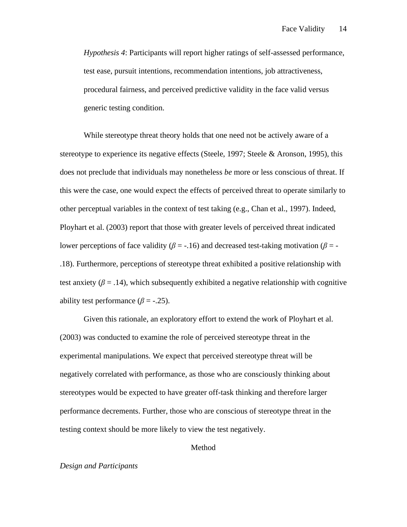*Hypothesis 4*: Participants will report higher ratings of self-assessed performance, test ease, pursuit intentions, recommendation intentions, job attractiveness, procedural fairness, and perceived predictive validity in the face valid versus generic testing condition.

While stereotype threat theory holds that one need not be actively aware of a stereotype to experience its negative effects (Steele, 1997; Steele & Aronson, 1995), this does not preclude that individuals may nonetheless *be* more or less conscious of threat. If this were the case, one would expect the effects of perceived threat to operate similarly to other perceptual variables in the context of test taking (e.g., Chan et al., 1997). Indeed, Ployhart et al. (2003) report that those with greater levels of perceived threat indicated lower perceptions of face validity ( $\beta$  = -.16) and decreased test-taking motivation ( $\beta$  = -.18). Furthermore, perceptions of stereotype threat exhibited a positive relationship with test anxiety ( $\beta$  = .14), which subsequently exhibited a negative relationship with cognitive ability test performance  $(\beta = -.25)$ .

Given this rationale, an exploratory effort to extend the work of Ployhart et al. (2003) was conducted to examine the role of perceived stereotype threat in the experimental manipulations. We expect that perceived stereotype threat will be negatively correlated with performance, as those who are consciously thinking about stereotypes would be expected to have greater off-task thinking and therefore larger performance decrements. Further, those who are conscious of stereotype threat in the testing context should be more likely to view the test negatively.

Method

### *Design and Participants*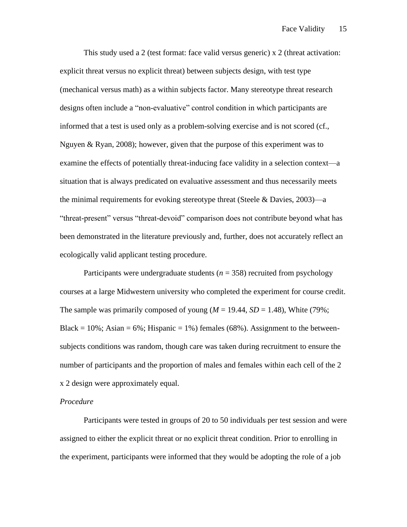This study used a 2 (test format: face valid versus generic) x 2 (threat activation: explicit threat versus no explicit threat) between subjects design, with test type (mechanical versus math) as a within subjects factor. Many stereotype threat research designs often include a "non-evaluative" control condition in which participants are informed that a test is used only as a problem-solving exercise and is not scored (cf., Nguyen & Ryan, 2008); however, given that the purpose of this experiment was to examine the effects of potentially threat-inducing face validity in a selection context—a situation that is always predicated on evaluative assessment and thus necessarily meets the minimal requirements for evoking stereotype threat (Steele  $&$  Davies, 2003)—a "threat-present" versus "threat-devoid" comparison does not contribute beyond what has been demonstrated in the literature previously and, further, does not accurately reflect an ecologically valid applicant testing procedure.

Participants were undergraduate students  $(n = 358)$  recruited from psychology courses at a large Midwestern university who completed the experiment for course credit. The sample was primarily composed of young  $(M = 19.44, SD = 1.48)$ , White (79%; Black =  $10\%$ ; Asian =  $6\%$ ; Hispanic =  $1\%$ ) females ( $68\%$ ). Assignment to the betweensubjects conditions was random, though care was taken during recruitment to ensure the number of participants and the proportion of males and females within each cell of the 2 x 2 design were approximately equal.

#### *Procedure*

Participants were tested in groups of 20 to 50 individuals per test session and were assigned to either the explicit threat or no explicit threat condition. Prior to enrolling in the experiment, participants were informed that they would be adopting the role of a job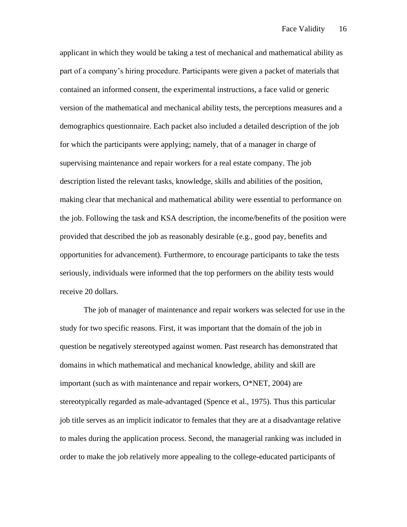applicant in which they would be taking a test of mechanical and mathematical ability as part of a company's hiring procedure. Participants were given a packet of materials that contained an informed consent, the experimental instructions, a face valid or generic version of the mathematical and mechanical ability tests, the perceptions measures and a demographics questionnaire. Each packet also included a detailed description of the job for which the participants were applying; namely, that of a manager in charge of supervising maintenance and repair workers for a real estate company. The job description listed the relevant tasks, knowledge, skills and abilities of the position, making clear that mechanical and mathematical ability were essential to performance on the job. Following the task and KSA description, the income/benefits of the position were provided that described the job as reasonably desirable (e.g., good pay, benefits and opportunities for advancement). Furthermore, to encourage participants to take the tests seriously, individuals were informed that the top performers on the ability tests would receive 20 dollars.

The job of manager of maintenance and repair workers was selected for use in the study for two specific reasons. First, it was important that the domain of the job in question be negatively stereotyped against women. Past research has demonstrated that domains in which mathematical and mechanical knowledge, ability and skill are important (such as with maintenance and repair workers, O\*NET, 2004) are stereotypically regarded as male-advantaged (Spence et al., 1975). Thus this particular job title serves as an implicit indicator to females that they are at a disadvantage relative to males during the application process. Second, the managerial ranking was included in order to make the job relatively more appealing to the college-educated participants of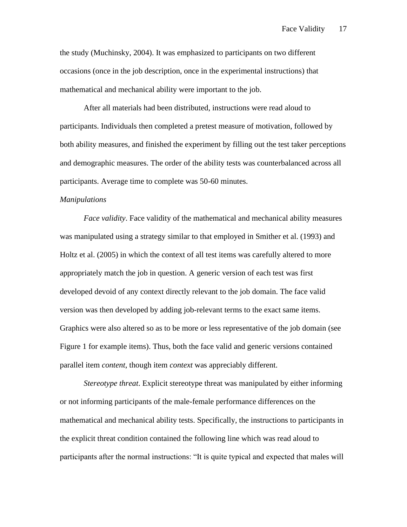the study (Muchinsky, 2004). It was emphasized to participants on two different occasions (once in the job description, once in the experimental instructions) that mathematical and mechanical ability were important to the job.

After all materials had been distributed, instructions were read aloud to participants. Individuals then completed a pretest measure of motivation, followed by both ability measures, and finished the experiment by filling out the test taker perceptions and demographic measures. The order of the ability tests was counterbalanced across all participants. Average time to complete was 50-60 minutes.

#### *Manipulations*

*Face validity*. Face validity of the mathematical and mechanical ability measures was manipulated using a strategy similar to that employed in Smither et al. (1993) and Holtz et al. (2005) in which the context of all test items was carefully altered to more appropriately match the job in question. A generic version of each test was first developed devoid of any context directly relevant to the job domain. The face valid version was then developed by adding job-relevant terms to the exact same items. Graphics were also altered so as to be more or less representative of the job domain (see Figure 1 for example items). Thus, both the face valid and generic versions contained parallel item *content*, though item *context* was appreciably different.

*Stereotype threat*. Explicit stereotype threat was manipulated by either informing or not informing participants of the male-female performance differences on the mathematical and mechanical ability tests. Specifically, the instructions to participants in the explicit threat condition contained the following line which was read aloud to participants after the normal instructions: "It is quite typical and expected that males will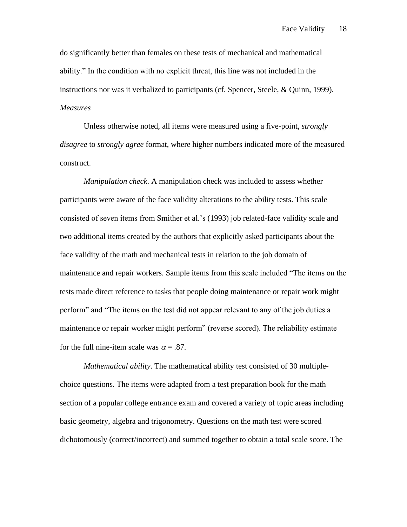do significantly better than females on these tests of mechanical and mathematical ability." In the condition with no explicit threat, this line was not included in the instructions nor was it verbalized to participants (cf. Spencer, Steele, & Quinn, 1999). *Measures*

Unless otherwise noted, all items were measured using a five-point, *strongly disagree* to *strongly agree* format, where higher numbers indicated more of the measured construct.

*Manipulation check*. A manipulation check was included to assess whether participants were aware of the face validity alterations to the ability tests. This scale consisted of seven items from Smither et al.'s (1993) job related-face validity scale and two additional items created by the authors that explicitly asked participants about the face validity of the math and mechanical tests in relation to the job domain of maintenance and repair workers. Sample items from this scale included "The items on the tests made direct reference to tasks that people doing maintenance or repair work might perform" and "The items on the test did not appear relevant to any of the job duties a maintenance or repair worker might perform" (reverse scored). The reliability estimate for the full nine-item scale was  $\alpha = .87$ .

*Mathematical ability*. The mathematical ability test consisted of 30 multiplechoice questions. The items were adapted from a test preparation book for the math section of a popular college entrance exam and covered a variety of topic areas including basic geometry, algebra and trigonometry. Questions on the math test were scored dichotomously (correct/incorrect) and summed together to obtain a total scale score. The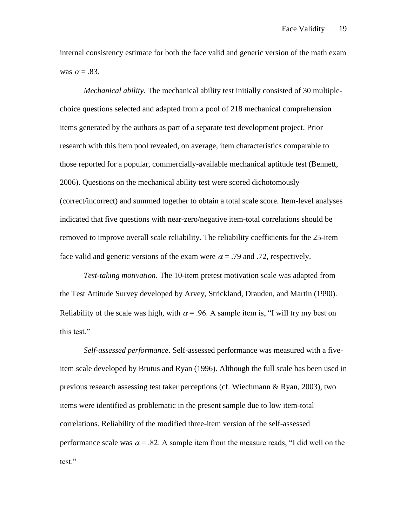internal consistency estimate for both the face valid and generic version of the math exam was  $\alpha = .83$ .

*Mechanical ability*. The mechanical ability test initially consisted of 30 multiplechoice questions selected and adapted from a pool of 218 mechanical comprehension items generated by the authors as part of a separate test development project. Prior research with this item pool revealed, on average, item characteristics comparable to those reported for a popular, commercially-available mechanical aptitude test (Bennett, 2006). Questions on the mechanical ability test were scored dichotomously (correct/incorrect) and summed together to obtain a total scale score. Item-level analyses indicated that five questions with near-zero/negative item-total correlations should be removed to improve overall scale reliability. The reliability coefficients for the 25-item face valid and generic versions of the exam were  $\alpha = .79$  and .72, respectively.

*Test-taking motivation*. The 10-item pretest motivation scale was adapted from the Test Attitude Survey developed by Arvey, Strickland, Drauden, and Martin (1990). Reliability of the scale was high, with  $\alpha$  = .96. A sample item is, "I will try my best on this test."

*Self-assessed performance*. Self-assessed performance was measured with a fiveitem scale developed by Brutus and Ryan (1996). Although the full scale has been used in previous research assessing test taker perceptions (cf. Wiechmann & Ryan, 2003), two items were identified as problematic in the present sample due to low item-total correlations. Reliability of the modified three-item version of the self-assessed performance scale was  $\alpha = 0.82$ . A sample item from the measure reads, "I did well on the test."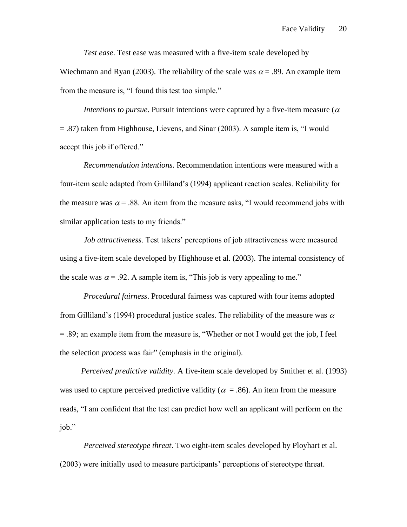*Test ease*. Test ease was measured with a five-item scale developed by

Wiechmann and Ryan (2003). The reliability of the scale was  $\alpha = .89$ . An example item from the measure is, "I found this test too simple."

*Intentions to pursue*. Pursuit intentions were captured by a five-item measure ( $\alpha$ ) = .87) taken from Highhouse, Lievens, and Sinar (2003). A sample item is, "I would accept this job if offered."

*Recommendation intentions*. Recommendation intentions were measured with a four-item scale adapted from Gilliland's (1994) applicant reaction scales. Reliability for the measure was  $\alpha$  = .88. An item from the measure asks, "I would recommend jobs with similar application tests to my friends."

*Job attractiveness*. Test takers' perceptions of job attractiveness were measured using a five-item scale developed by Highhouse et al. (2003). The internal consistency of the scale was  $\alpha$  = .92. A sample item is, "This job is very appealing to me."

*Procedural fairness*. Procedural fairness was captured with four items adopted from Gilliland's (1994) procedural justice scales. The reliability of the measure was  $\alpha$ = .89; an example item from the measure is, "Whether or not I would get the job, I feel the selection *process* was fair" (emphasis in the original).

*Perceived predictive validity*. A five-item scale developed by Smither et al. (1993) was used to capture perceived predictive validity ( $\alpha = .86$ ). An item from the measure reads, "I am confident that the test can predict how well an applicant will perform on the job."

*Perceived stereotype threat*. Two eight-item scales developed by Ployhart et al. (2003) were initially used to measure participants' perceptions of stereotype threat.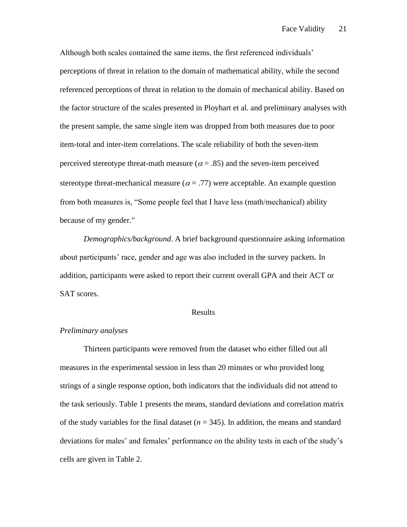Although both scales contained the same items, the first referenced individuals' perceptions of threat in relation to the domain of mathematical ability, while the second referenced perceptions of threat in relation to the domain of mechanical ability. Based on the factor structure of the scales presented in Ployhart et al. and preliminary analyses with the present sample, the same single item was dropped from both measures due to poor item-total and inter-item correlations. The scale reliability of both the seven-item perceived stereotype threat-math measure ( $\alpha$  = .85) and the seven-item perceived stereotype threat-mechanical measure ( $\alpha$  = .77) were acceptable. An example question from both measures is, "Some people feel that I have less (math/mechanical) ability because of my gender."

*Demographics/background*. A brief background questionnaire asking information about participants' race, gender and age was also included in the survey packets. In addition, participants were asked to report their current overall GPA and their ACT or SAT scores.

### Results

### *Preliminary analyses*

Thirteen participants were removed from the dataset who either filled out all measures in the experimental session in less than 20 minutes or who provided long strings of a single response option, both indicators that the individuals did not attend to the task seriously. Table 1 presents the means, standard deviations and correlation matrix of the study variables for the final dataset  $(n = 345)$ . In addition, the means and standard deviations for males' and females' performance on the ability tests in each of the study's cells are given in Table 2.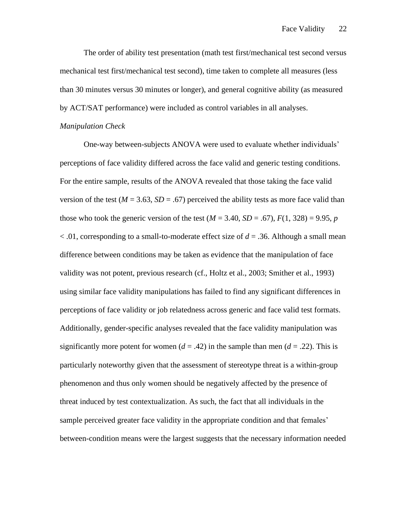The order of ability test presentation (math test first/mechanical test second versus mechanical test first/mechanical test second), time taken to complete all measures (less than 30 minutes versus 30 minutes or longer), and general cognitive ability (as measured by ACT/SAT performance) were included as control variables in all analyses.

#### *Manipulation Check*

One-way between-subjects ANOVA were used to evaluate whether individuals' perceptions of face validity differed across the face valid and generic testing conditions. For the entire sample, results of the ANOVA revealed that those taking the face valid version of the test  $(M = 3.63, SD = .67)$  perceived the ability tests as more face valid than those who took the generic version of the test  $(M = 3.40, SD = .67)$ ,  $F(1, 328) = 9.95$ , *p* < .01, corresponding to a small-to-moderate effect size of *d* = .36. Although a small mean difference between conditions may be taken as evidence that the manipulation of face validity was not potent, previous research (cf., Holtz et al., 2003; Smither et al., 1993) using similar face validity manipulations has failed to find any significant differences in perceptions of face validity or job relatedness across generic and face valid test formats. Additionally, gender-specific analyses revealed that the face validity manipulation was significantly more potent for women  $(d = .42)$  in the sample than men  $(d = .22)$ . This is particularly noteworthy given that the assessment of stereotype threat is a within-group phenomenon and thus only women should be negatively affected by the presence of threat induced by test contextualization. As such, the fact that all individuals in the sample perceived greater face validity in the appropriate condition and that females' between-condition means were the largest suggests that the necessary information needed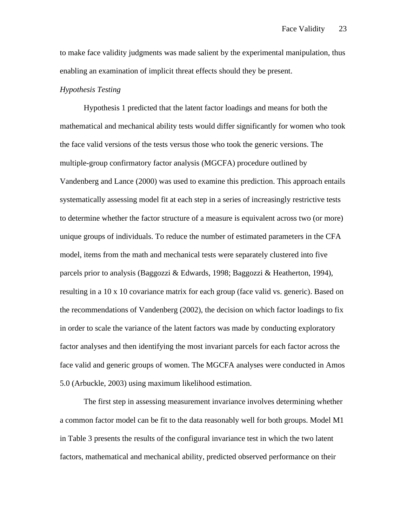to make face validity judgments was made salient by the experimental manipulation, thus enabling an examination of implicit threat effects should they be present.

### *Hypothesis Testing*

Hypothesis 1 predicted that the latent factor loadings and means for both the mathematical and mechanical ability tests would differ significantly for women who took the face valid versions of the tests versus those who took the generic versions. The multiple-group confirmatory factor analysis (MGCFA) procedure outlined by Vandenberg and Lance (2000) was used to examine this prediction. This approach entails systematically assessing model fit at each step in a series of increasingly restrictive tests to determine whether the factor structure of a measure is equivalent across two (or more) unique groups of individuals. To reduce the number of estimated parameters in the CFA model, items from the math and mechanical tests were separately clustered into five parcels prior to analysis (Baggozzi & Edwards, 1998; Baggozzi & Heatherton, 1994), resulting in a 10 x 10 covariance matrix for each group (face valid vs. generic). Based on the recommendations of Vandenberg (2002), the decision on which factor loadings to fix in order to scale the variance of the latent factors was made by conducting exploratory factor analyses and then identifying the most invariant parcels for each factor across the face valid and generic groups of women. The MGCFA analyses were conducted in Amos 5.0 (Arbuckle, 2003) using maximum likelihood estimation.

The first step in assessing measurement invariance involves determining whether a common factor model can be fit to the data reasonably well for both groups. Model M1 in Table 3 presents the results of the configural invariance test in which the two latent factors, mathematical and mechanical ability, predicted observed performance on their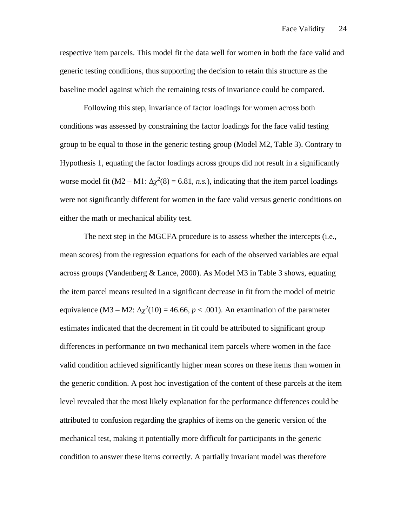respective item parcels. This model fit the data well for women in both the face valid and generic testing conditions, thus supporting the decision to retain this structure as the baseline model against which the remaining tests of invariance could be compared.

Following this step, invariance of factor loadings for women across both conditions was assessed by constraining the factor loadings for the face valid testing group to be equal to those in the generic testing group (Model M2, Table 3). Contrary to Hypothesis 1, equating the factor loadings across groups did not result in a significantly worse model fit  $(M2 - M1: \Delta \chi^2(8) = 6.81, n.s.)$ , indicating that the item parcel loadings were not significantly different for women in the face valid versus generic conditions on either the math or mechanical ability test.

The next step in the MGCFA procedure is to assess whether the intercepts (i.e., mean scores) from the regression equations for each of the observed variables are equal across groups (Vandenberg & Lance, 2000). As Model M3 in Table 3 shows, equating the item parcel means resulted in a significant decrease in fit from the model of metric equivalence  $(M3 - M2: \Delta \chi^2(10) = 46.66, p < .001)$ . An examination of the parameter estimates indicated that the decrement in fit could be attributed to significant group differences in performance on two mechanical item parcels where women in the face valid condition achieved significantly higher mean scores on these items than women in the generic condition. A post hoc investigation of the content of these parcels at the item level revealed that the most likely explanation for the performance differences could be attributed to confusion regarding the graphics of items on the generic version of the mechanical test, making it potentially more difficult for participants in the generic condition to answer these items correctly. A partially invariant model was therefore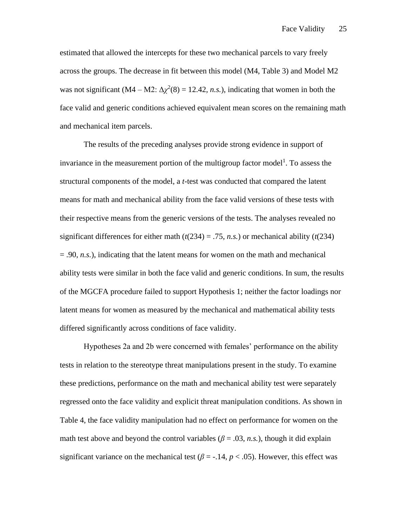estimated that allowed the intercepts for these two mechanical parcels to vary freely across the groups. The decrease in fit between this model (M4, Table 3) and Model M2 was not significant  $(M4 - M2: \Delta \chi^2(8) = 12.42, n.s.)$ , indicating that women in both the face valid and generic conditions achieved equivalent mean scores on the remaining math and mechanical item parcels.

The results of the preceding analyses provide strong evidence in support of invariance in the measurement portion of the multigroup factor model<sup>1</sup>. To assess the structural components of the model, a *t*-test was conducted that compared the latent means for math and mechanical ability from the face valid versions of these tests with their respective means from the generic versions of the tests. The analyses revealed no significant differences for either math  $(t(234) = .75, n.s.)$  or mechanical ability  $(t(234)$  $= .90$ , *n.s.*), indicating that the latent means for women on the math and mechanical ability tests were similar in both the face valid and generic conditions. In sum, the results of the MGCFA procedure failed to support Hypothesis 1; neither the factor loadings nor latent means for women as measured by the mechanical and mathematical ability tests differed significantly across conditions of face validity.

Hypotheses 2a and 2b were concerned with females' performance on the ability tests in relation to the stereotype threat manipulations present in the study. To examine these predictions, performance on the math and mechanical ability test were separately regressed onto the face validity and explicit threat manipulation conditions. As shown in Table 4, the face validity manipulation had no effect on performance for women on the math test above and beyond the control variables ( $\beta$  = .03, *n.s.*), though it did explain significant variance on the mechanical test ( $\beta$  = -.14,  $p$  < .05). However, this effect was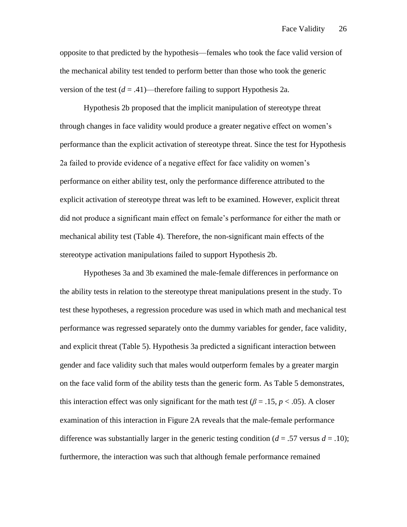opposite to that predicted by the hypothesis—females who took the face valid version of the mechanical ability test tended to perform better than those who took the generic version of the test  $(d = .41)$ —therefore failing to support Hypothesis 2a.

Hypothesis 2b proposed that the implicit manipulation of stereotype threat through changes in face validity would produce a greater negative effect on women's performance than the explicit activation of stereotype threat. Since the test for Hypothesis 2a failed to provide evidence of a negative effect for face validity on women's performance on either ability test, only the performance difference attributed to the explicit activation of stereotype threat was left to be examined. However, explicit threat did not produce a significant main effect on female's performance for either the math or mechanical ability test (Table 4). Therefore, the non-significant main effects of the stereotype activation manipulations failed to support Hypothesis 2b.

Hypotheses 3a and 3b examined the male-female differences in performance on the ability tests in relation to the stereotype threat manipulations present in the study. To test these hypotheses, a regression procedure was used in which math and mechanical test performance was regressed separately onto the dummy variables for gender, face validity, and explicit threat (Table 5). Hypothesis 3a predicted a significant interaction between gender and face validity such that males would outperform females by a greater margin on the face valid form of the ability tests than the generic form. As Table 5 demonstrates, this interaction effect was only significant for the math test ( $\beta = .15$ ,  $p < .05$ ). A closer examination of this interaction in Figure 2A reveals that the male-female performance difference was substantially larger in the generic testing condition  $(d = .57 \text{ versus } d = .10)$ ; furthermore, the interaction was such that although female performance remained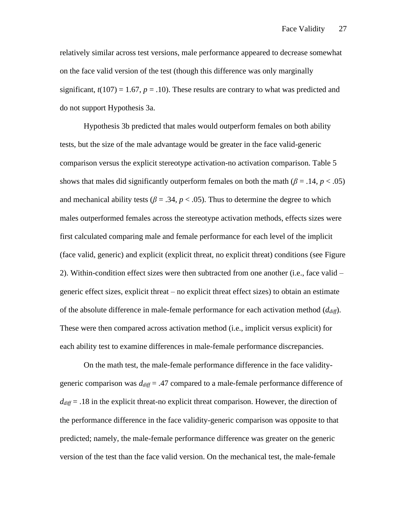relatively similar across test versions, male performance appeared to decrease somewhat on the face valid version of the test (though this difference was only marginally significant,  $t(107) = 1.67$ ,  $p = .10$ ). These results are contrary to what was predicted and do not support Hypothesis 3a.

Hypothesis 3b predicted that males would outperform females on both ability tests, but the size of the male advantage would be greater in the face valid-generic comparison versus the explicit stereotype activation-no activation comparison. Table 5 shows that males did significantly outperform females on both the math  $(\beta = .14, p < .05)$ and mechanical ability tests ( $\beta = .34$ ,  $p < .05$ ). Thus to determine the degree to which males outperformed females across the stereotype activation methods, effects sizes were first calculated comparing male and female performance for each level of the implicit (face valid, generic) and explicit (explicit threat, no explicit threat) conditions (see Figure 2). Within-condition effect sizes were then subtracted from one another (i.e., face valid – generic effect sizes, explicit threat – no explicit threat effect sizes) to obtain an estimate of the absolute difference in male-female performance for each activation method (*ddiff*). These were then compared across activation method (i.e., implicit versus explicit) for each ability test to examine differences in male-female performance discrepancies.

On the math test, the male-female performance difference in the face validitygeneric comparison was *ddiff* = .47 compared to a male-female performance difference of *ddiff* = .18 in the explicit threat-no explicit threat comparison. However, the direction of the performance difference in the face validity-generic comparison was opposite to that predicted; namely, the male-female performance difference was greater on the generic version of the test than the face valid version. On the mechanical test, the male-female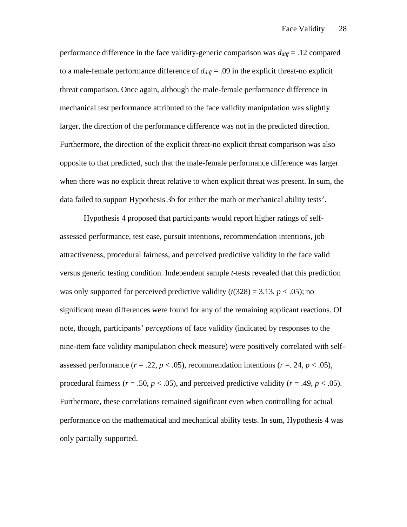performance difference in the face validity-generic comparison was  $d_{diff} = .12$  compared to a male-female performance difference of  $d_{diff} = .09$  in the explicit threat-no explicit threat comparison. Once again, although the male-female performance difference in mechanical test performance attributed to the face validity manipulation was slightly larger, the direction of the performance difference was not in the predicted direction. Furthermore, the direction of the explicit threat-no explicit threat comparison was also opposite to that predicted, such that the male-female performance difference was larger when there was no explicit threat relative to when explicit threat was present. In sum, the data failed to support Hypothesis 3b for either the math or mechanical ability tests<sup>2</sup>.

Hypothesis 4 proposed that participants would report higher ratings of selfassessed performance, test ease, pursuit intentions, recommendation intentions, job attractiveness, procedural fairness, and perceived predictive validity in the face valid versus generic testing condition. Independent sample *t*-tests revealed that this prediction was only supported for perceived predictive validity  $(t(328) = 3.13, p < .05)$ ; no significant mean differences were found for any of the remaining applicant reactions. Of note, though, participants' *perceptions* of face validity (indicated by responses to the nine-item face validity manipulation check measure) were positively correlated with selfassessed performance  $(r = .22, p < .05)$ , recommendation intentions  $(r = .24, p < .05)$ , procedural fairness ( $r = .50$ ,  $p < .05$ ), and perceived predictive validity ( $r = .49$ ,  $p < .05$ ). Furthermore, these correlations remained significant even when controlling for actual performance on the mathematical and mechanical ability tests. In sum, Hypothesis 4 was only partially supported.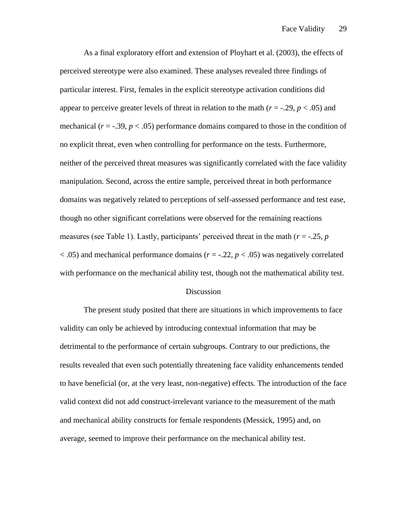As a final exploratory effort and extension of Ployhart et al. (2003), the effects of perceived stereotype were also examined. These analyses revealed three findings of particular interest. First, females in the explicit stereotype activation conditions did appear to perceive greater levels of threat in relation to the math  $(r = -0.29, p < 0.05)$  and mechanical  $(r = -0.39, p < 0.05)$  performance domains compared to those in the condition of no explicit threat, even when controlling for performance on the tests. Furthermore, neither of the perceived threat measures was significantly correlated with the face validity manipulation. Second, across the entire sample, perceived threat in both performance domains was negatively related to perceptions of self-assessed performance and test ease, though no other significant correlations were observed for the remaining reactions measures (see Table 1). Lastly, participants' perceived threat in the math (*r* = -.25, *p* < .05) and mechanical performance domains (*r* = -.22, *p* < .05) was negatively correlated with performance on the mechanical ability test, though not the mathematical ability test.

#### **Discussion**

The present study posited that there are situations in which improvements to face validity can only be achieved by introducing contextual information that may be detrimental to the performance of certain subgroups. Contrary to our predictions, the results revealed that even such potentially threatening face validity enhancements tended to have beneficial (or, at the very least, non-negative) effects. The introduction of the face valid context did not add construct-irrelevant variance to the measurement of the math and mechanical ability constructs for female respondents (Messick, 1995) and, on average, seemed to improve their performance on the mechanical ability test.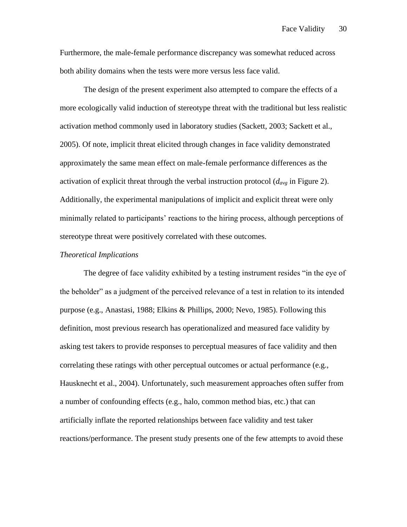Furthermore, the male-female performance discrepancy was somewhat reduced across both ability domains when the tests were more versus less face valid.

The design of the present experiment also attempted to compare the effects of a more ecologically valid induction of stereotype threat with the traditional but less realistic activation method commonly used in laboratory studies (Sackett, 2003; Sackett et al., 2005). Of note, implicit threat elicited through changes in face validity demonstrated approximately the same mean effect on male-female performance differences as the activation of explicit threat through the verbal instruction protocol (*davg* in Figure 2). Additionally, the experimental manipulations of implicit and explicit threat were only minimally related to participants' reactions to the hiring process, although perceptions of stereotype threat were positively correlated with these outcomes.

### *Theoretical Implications*

The degree of face validity exhibited by a testing instrument resides "in the eye of the beholder" as a judgment of the perceived relevance of a test in relation to its intended purpose (e.g., Anastasi, 1988; Elkins & Phillips, 2000; Nevo, 1985). Following this definition, most previous research has operationalized and measured face validity by asking test takers to provide responses to perceptual measures of face validity and then correlating these ratings with other perceptual outcomes or actual performance (e.g., Hausknecht et al., 2004). Unfortunately, such measurement approaches often suffer from a number of confounding effects (e.g., halo, common method bias, etc.) that can artificially inflate the reported relationships between face validity and test taker reactions/performance. The present study presents one of the few attempts to avoid these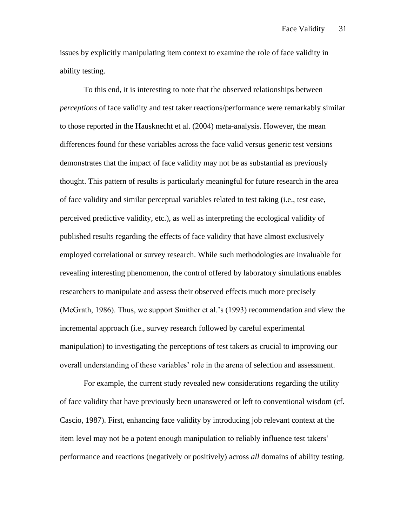issues by explicitly manipulating item context to examine the role of face validity in ability testing.

To this end, it is interesting to note that the observed relationships between *perceptions* of face validity and test taker reactions/performance were remarkably similar to those reported in the Hausknecht et al. (2004) meta-analysis. However, the mean differences found for these variables across the face valid versus generic test versions demonstrates that the impact of face validity may not be as substantial as previously thought. This pattern of results is particularly meaningful for future research in the area of face validity and similar perceptual variables related to test taking (i.e., test ease, perceived predictive validity, etc.), as well as interpreting the ecological validity of published results regarding the effects of face validity that have almost exclusively employed correlational or survey research. While such methodologies are invaluable for revealing interesting phenomenon, the control offered by laboratory simulations enables researchers to manipulate and assess their observed effects much more precisely (McGrath, 1986). Thus, we support Smither et al.'s (1993) recommendation and view the incremental approach (i.e., survey research followed by careful experimental manipulation) to investigating the perceptions of test takers as crucial to improving our overall understanding of these variables' role in the arena of selection and assessment.

For example, the current study revealed new considerations regarding the utility of face validity that have previously been unanswered or left to conventional wisdom (cf. Cascio, 1987). First, enhancing face validity by introducing job relevant context at the item level may not be a potent enough manipulation to reliably influence test takers' performance and reactions (negatively or positively) across *all* domains of ability testing.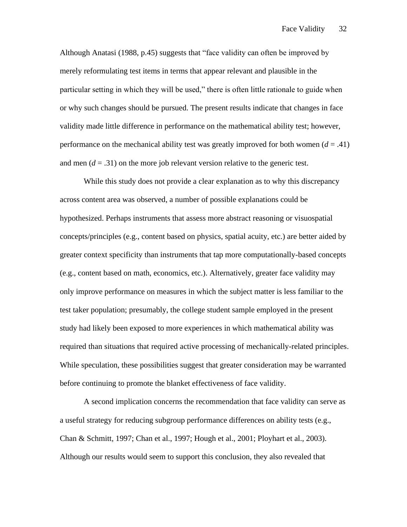Although Anatasi (1988, p.45) suggests that "face validity can often be improved by merely reformulating test items in terms that appear relevant and plausible in the particular setting in which they will be used," there is often little rationale to guide when or why such changes should be pursued. The present results indicate that changes in face validity made little difference in performance on the mathematical ability test; however, performance on the mechanical ability test was greatly improved for both women  $(d = .41)$ and men  $(d = .31)$  on the more job relevant version relative to the generic test.

While this study does not provide a clear explanation as to why this discrepancy across content area was observed, a number of possible explanations could be hypothesized. Perhaps instruments that assess more abstract reasoning or visuospatial concepts/principles (e.g., content based on physics, spatial acuity, etc.) are better aided by greater context specificity than instruments that tap more computationally-based concepts (e.g., content based on math, economics, etc.). Alternatively, greater face validity may only improve performance on measures in which the subject matter is less familiar to the test taker population; presumably, the college student sample employed in the present study had likely been exposed to more experiences in which mathematical ability was required than situations that required active processing of mechanically-related principles. While speculation, these possibilities suggest that greater consideration may be warranted before continuing to promote the blanket effectiveness of face validity.

A second implication concerns the recommendation that face validity can serve as a useful strategy for reducing subgroup performance differences on ability tests (e.g., Chan & Schmitt, 1997; Chan et al., 1997; Hough et al., 2001; Ployhart et al., 2003). Although our results would seem to support this conclusion, they also revealed that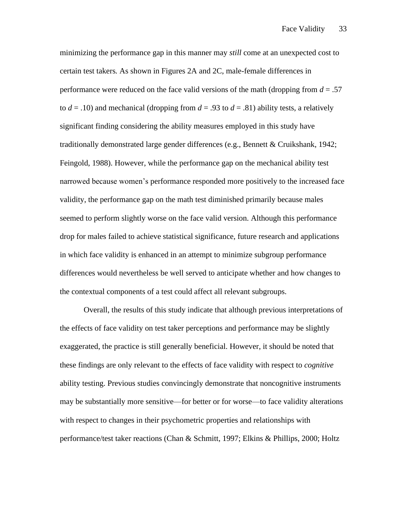minimizing the performance gap in this manner may *still* come at an unexpected cost to certain test takers*.* As shown in Figures 2A and 2C, male-female differences in performance were reduced on the face valid versions of the math (dropping from *d* = .57 to  $d = .10$ ) and mechanical (dropping from  $d = .93$  to  $d = .81$ ) ability tests, a relatively significant finding considering the ability measures employed in this study have traditionally demonstrated large gender differences (e.g., Bennett & Cruikshank, 1942; Feingold, 1988). However, while the performance gap on the mechanical ability test narrowed because women's performance responded more positively to the increased face validity, the performance gap on the math test diminished primarily because males seemed to perform slightly worse on the face valid version. Although this performance drop for males failed to achieve statistical significance, future research and applications in which face validity is enhanced in an attempt to minimize subgroup performance differences would nevertheless be well served to anticipate whether and how changes to the contextual components of a test could affect all relevant subgroups.

Overall, the results of this study indicate that although previous interpretations of the effects of face validity on test taker perceptions and performance may be slightly exaggerated, the practice is still generally beneficial. However, it should be noted that these findings are only relevant to the effects of face validity with respect to *cognitive*  ability testing. Previous studies convincingly demonstrate that noncognitive instruments may be substantially more sensitive—for better or for worse—to face validity alterations with respect to changes in their psychometric properties and relationships with performance/test taker reactions (Chan & Schmitt, 1997; Elkins & Phillips, 2000; Holtz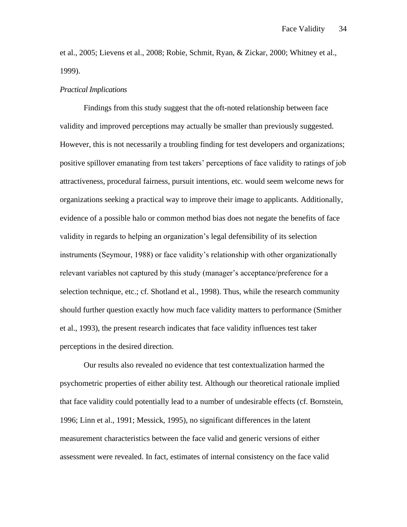et al., 2005; Lievens et al., 2008; Robie, Schmit, Ryan, & Zickar, 2000; Whitney et al., 1999).

### *Practical Implications*

Findings from this study suggest that the oft-noted relationship between face validity and improved perceptions may actually be smaller than previously suggested. However, this is not necessarily a troubling finding for test developers and organizations; positive spillover emanating from test takers' perceptions of face validity to ratings of job attractiveness, procedural fairness, pursuit intentions, etc. would seem welcome news for organizations seeking a practical way to improve their image to applicants. Additionally, evidence of a possible halo or common method bias does not negate the benefits of face validity in regards to helping an organization's legal defensibility of its selection instruments (Seymour, 1988) or face validity's relationship with other organizationally relevant variables not captured by this study (manager's acceptance/preference for a selection technique, etc.; cf. Shotland et al., 1998). Thus, while the research community should further question exactly how much face validity matters to performance (Smither et al., 1993), the present research indicates that face validity influences test taker perceptions in the desired direction.

Our results also revealed no evidence that test contextualization harmed the psychometric properties of either ability test. Although our theoretical rationale implied that face validity could potentially lead to a number of undesirable effects (cf. Bornstein, 1996; Linn et al., 1991; Messick, 1995), no significant differences in the latent measurement characteristics between the face valid and generic versions of either assessment were revealed. In fact, estimates of internal consistency on the face valid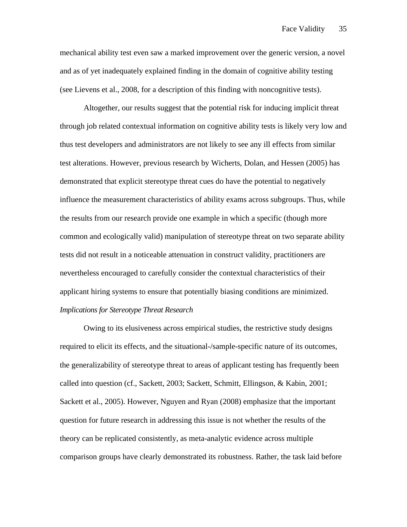mechanical ability test even saw a marked improvement over the generic version, a novel and as of yet inadequately explained finding in the domain of cognitive ability testing (see Lievens et al., 2008, for a description of this finding with noncognitive tests).

Altogether, our results suggest that the potential risk for inducing implicit threat through job related contextual information on cognitive ability tests is likely very low and thus test developers and administrators are not likely to see any ill effects from similar test alterations. However, previous research by Wicherts, Dolan, and Hessen (2005) has demonstrated that explicit stereotype threat cues do have the potential to negatively influence the measurement characteristics of ability exams across subgroups. Thus, while the results from our research provide one example in which a specific (though more common and ecologically valid) manipulation of stereotype threat on two separate ability tests did not result in a noticeable attenuation in construct validity, practitioners are nevertheless encouraged to carefully consider the contextual characteristics of their applicant hiring systems to ensure that potentially biasing conditions are minimized. *Implications for Stereotype Threat Research*

Owing to its elusiveness across empirical studies, the restrictive study designs required to elicit its effects, and the situational-/sample-specific nature of its outcomes, the generalizability of stereotype threat to areas of applicant testing has frequently been called into question (cf., Sackett, 2003; Sackett, Schmitt, Ellingson, & Kabin, 2001; Sackett et al., 2005). However, Nguyen and Ryan (2008) emphasize that the important question for future research in addressing this issue is not whether the results of the theory can be replicated consistently, as meta-analytic evidence across multiple comparison groups have clearly demonstrated its robustness. Rather, the task laid before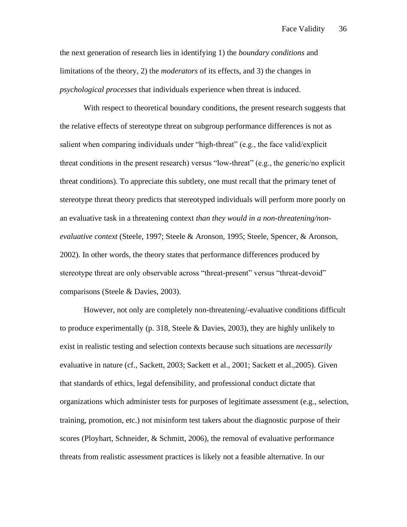the next generation of research lies in identifying 1) the *boundary conditions* and limitations of the theory, 2) the *moderators* of its effects, and 3) the changes in *psychological processes* that individuals experience when threat is induced.

With respect to theoretical boundary conditions, the present research suggests that the relative effects of stereotype threat on subgroup performance differences is not as salient when comparing individuals under "high-threat" (e.g., the face valid/explicit threat conditions in the present research) versus "low-threat" (e.g., the generic/no explicit threat conditions). To appreciate this subtlety, one must recall that the primary tenet of stereotype threat theory predicts that stereotyped individuals will perform more poorly on an evaluative task in a threatening context *than they would in a non-threatening/nonevaluative context* (Steele, 1997; Steele & Aronson, 1995; Steele, Spencer, & Aronson, 2002). In other words, the theory states that performance differences produced by stereotype threat are only observable across "threat-present" versus "threat-devoid" comparisons (Steele & Davies, 2003).

However, not only are completely non-threatening/-evaluative conditions difficult to produce experimentally (p. 318, Steele & Davies, 2003), they are highly unlikely to exist in realistic testing and selection contexts because such situations are *necessarily* evaluative in nature (cf., Sackett, 2003; Sackett et al., 2001; Sackett et al.,2005). Given that standards of ethics, legal defensibility, and professional conduct dictate that organizations which administer tests for purposes of legitimate assessment (e.g., selection, training, promotion, etc.) not misinform test takers about the diagnostic purpose of their scores (Ployhart, Schneider, & Schmitt, 2006), the removal of evaluative performance threats from realistic assessment practices is likely not a feasible alternative. In our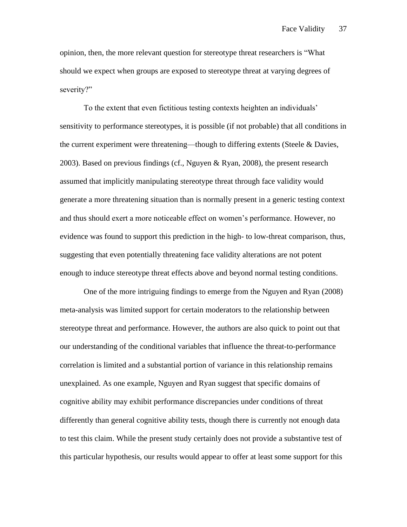opinion, then, the more relevant question for stereotype threat researchers is "What should we expect when groups are exposed to stereotype threat at varying degrees of severity?"

To the extent that even fictitious testing contexts heighten an individuals' sensitivity to performance stereotypes, it is possible (if not probable) that all conditions in the current experiment were threatening—though to differing extents (Steele & Davies, 2003). Based on previous findings (cf., Nguyen & Ryan, 2008), the present research assumed that implicitly manipulating stereotype threat through face validity would generate a more threatening situation than is normally present in a generic testing context and thus should exert a more noticeable effect on women's performance. However, no evidence was found to support this prediction in the high- to low-threat comparison, thus, suggesting that even potentially threatening face validity alterations are not potent enough to induce stereotype threat effects above and beyond normal testing conditions.

One of the more intriguing findings to emerge from the Nguyen and Ryan (2008) meta-analysis was limited support for certain moderators to the relationship between stereotype threat and performance. However, the authors are also quick to point out that our understanding of the conditional variables that influence the threat-to-performance correlation is limited and a substantial portion of variance in this relationship remains unexplained. As one example, Nguyen and Ryan suggest that specific domains of cognitive ability may exhibit performance discrepancies under conditions of threat differently than general cognitive ability tests, though there is currently not enough data to test this claim. While the present study certainly does not provide a substantive test of this particular hypothesis, our results would appear to offer at least some support for this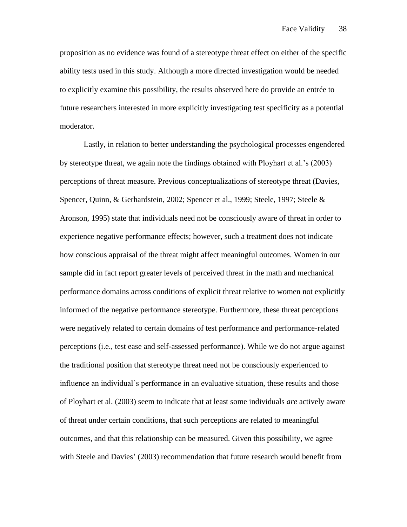proposition as no evidence was found of a stereotype threat effect on either of the specific ability tests used in this study. Although a more directed investigation would be needed to explicitly examine this possibility, the results observed here do provide an entrée to future researchers interested in more explicitly investigating test specificity as a potential moderator.

Lastly, in relation to better understanding the psychological processes engendered by stereotype threat, we again note the findings obtained with Ployhart et al.'s (2003) perceptions of threat measure. Previous conceptualizations of stereotype threat (Davies, Spencer, Quinn, & Gerhardstein, 2002; Spencer et al., 1999; Steele, 1997; Steele & Aronson, 1995) state that individuals need not be consciously aware of threat in order to experience negative performance effects; however, such a treatment does not indicate how conscious appraisal of the threat might affect meaningful outcomes. Women in our sample did in fact report greater levels of perceived threat in the math and mechanical performance domains across conditions of explicit threat relative to women not explicitly informed of the negative performance stereotype. Furthermore, these threat perceptions were negatively related to certain domains of test performance and performance-related perceptions (i.e., test ease and self-assessed performance). While we do not argue against the traditional position that stereotype threat need not be consciously experienced to influence an individual's performance in an evaluative situation, these results and those of Ployhart et al. (2003) seem to indicate that at least some individuals *are* actively aware of threat under certain conditions, that such perceptions are related to meaningful outcomes, and that this relationship can be measured. Given this possibility, we agree with Steele and Davies' (2003) recommendation that future research would benefit from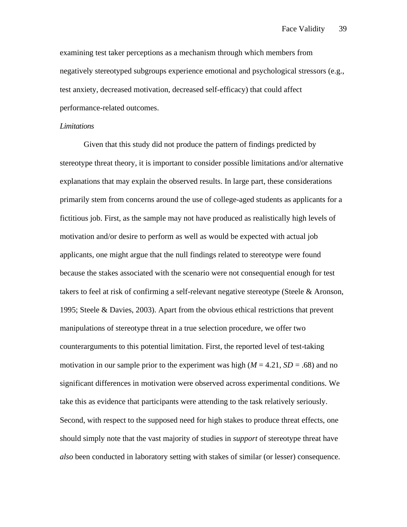examining test taker perceptions as a mechanism through which members from negatively stereotyped subgroups experience emotional and psychological stressors (e.g., test anxiety, decreased motivation, decreased self-efficacy) that could affect performance-related outcomes.

#### *Limitations*

Given that this study did not produce the pattern of findings predicted by stereotype threat theory, it is important to consider possible limitations and/or alternative explanations that may explain the observed results. In large part, these considerations primarily stem from concerns around the use of college-aged students as applicants for a fictitious job. First, as the sample may not have produced as realistically high levels of motivation and/or desire to perform as well as would be expected with actual job applicants, one might argue that the null findings related to stereotype were found because the stakes associated with the scenario were not consequential enough for test takers to feel at risk of confirming a self-relevant negative stereotype (Steele & Aronson, 1995; Steele & Davies, 2003). Apart from the obvious ethical restrictions that prevent manipulations of stereotype threat in a true selection procedure, we offer two counterarguments to this potential limitation. First, the reported level of test-taking motivation in our sample prior to the experiment was high  $(M = 4.21, SD = .68)$  and no significant differences in motivation were observed across experimental conditions. We take this as evidence that participants were attending to the task relatively seriously. Second, with respect to the supposed need for high stakes to produce threat effects, one should simply note that the vast majority of studies in *support* of stereotype threat have *also* been conducted in laboratory setting with stakes of similar (or lesser) consequence.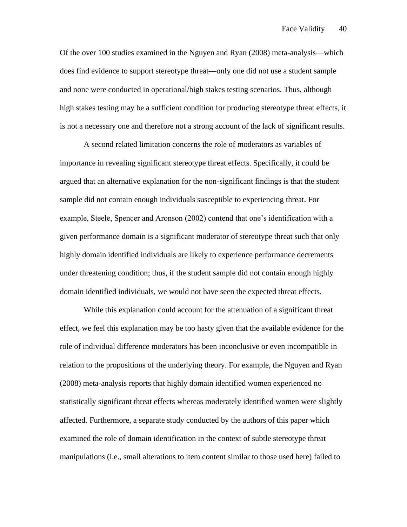Of the over 100 studies examined in the Nguyen and Ryan (2008) meta-analysis—which does find evidence to support stereotype threat—only one did not use a student sample and none were conducted in operational/high stakes testing scenarios. Thus, although high stakes testing may be a sufficient condition for producing stereotype threat effects, it is not a necessary one and therefore not a strong account of the lack of significant results.

A second related limitation concerns the role of moderators as variables of importance in revealing significant stereotype threat effects. Specifically, it could be argued that an alternative explanation for the non-significant findings is that the student sample did not contain enough individuals susceptible to experiencing threat. For example, Steele, Spencer and Aronson (2002) contend that one's identification with a given performance domain is a significant moderator of stereotype threat such that only highly domain identified individuals are likely to experience performance decrements under threatening condition; thus, if the student sample did not contain enough highly domain identified individuals, we would not have seen the expected threat effects.

While this explanation could account for the attenuation of a significant threat effect, we feel this explanation may be too hasty given that the available evidence for the role of individual difference moderators has been inconclusive or even incompatible in relation to the propositions of the underlying theory. For example, the Nguyen and Ryan (2008) meta-analysis reports that highly domain identified women experienced no statistically significant threat effects whereas moderately identified women were slightly affected. Furthermore, a separate study conducted by the authors of this paper which examined the role of domain identification in the context of subtle stereotype threat manipulations (i.e., small alterations to item content similar to those used here) failed to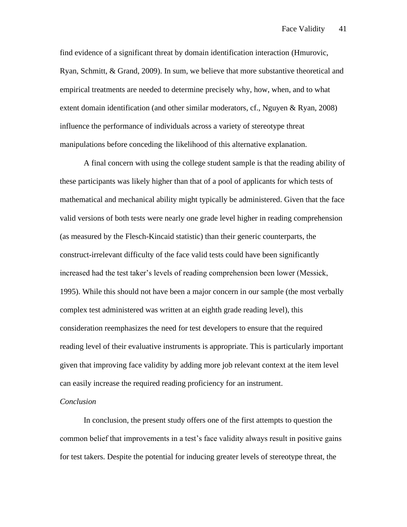find evidence of a significant threat by domain identification interaction (Hmurovic, Ryan, Schmitt, & Grand, 2009). In sum, we believe that more substantive theoretical and empirical treatments are needed to determine precisely why, how, when, and to what extent domain identification (and other similar moderators, cf., Nguyen & Ryan, 2008) influence the performance of individuals across a variety of stereotype threat manipulations before conceding the likelihood of this alternative explanation.

A final concern with using the college student sample is that the reading ability of these participants was likely higher than that of a pool of applicants for which tests of mathematical and mechanical ability might typically be administered. Given that the face valid versions of both tests were nearly one grade level higher in reading comprehension (as measured by the Flesch-Kincaid statistic) than their generic counterparts, the construct-irrelevant difficulty of the face valid tests could have been significantly increased had the test taker's levels of reading comprehension been lower (Messick, 1995). While this should not have been a major concern in our sample (the most verbally complex test administered was written at an eighth grade reading level), this consideration reemphasizes the need for test developers to ensure that the required reading level of their evaluative instruments is appropriate. This is particularly important given that improving face validity by adding more job relevant context at the item level can easily increase the required reading proficiency for an instrument.

### *Conclusion*

In conclusion, the present study offers one of the first attempts to question the common belief that improvements in a test's face validity always result in positive gains for test takers. Despite the potential for inducing greater levels of stereotype threat, the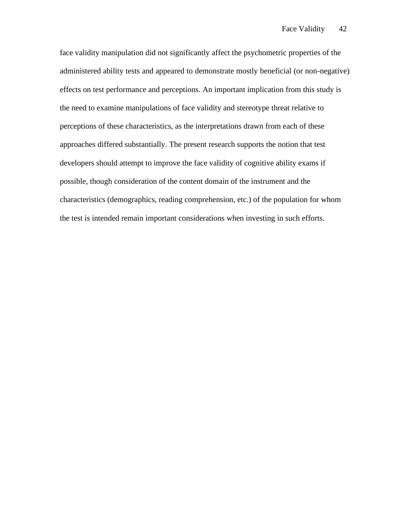face validity manipulation did not significantly affect the psychometric properties of the administered ability tests and appeared to demonstrate mostly beneficial (or non-negative) effects on test performance and perceptions. An important implication from this study is the need to examine manipulations of face validity and stereotype threat relative to perceptions of these characteristics, as the interpretations drawn from each of these approaches differed substantially. The present research supports the notion that test developers should attempt to improve the face validity of cognitive ability exams if possible, though consideration of the content domain of the instrument and the characteristics (demographics, reading comprehension, etc.) of the population for whom the test is intended remain important considerations when investing in such efforts.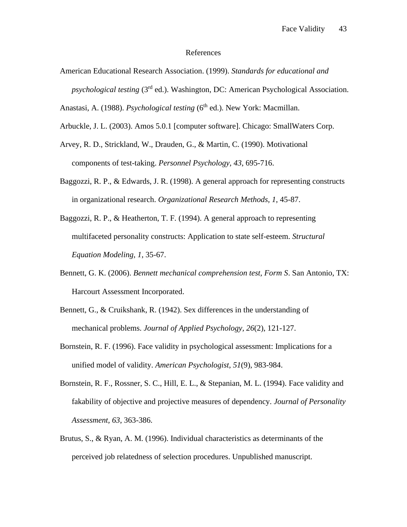### References

American Educational Research Association. (1999). *Standards for educational and psychological testing* (3rd ed.). Washington, DC: American Psychological Association.

Anastasi, A. (1988). *Psychological testing* (6<sup>th</sup> ed.). New York: Macmillan.

- Arbuckle, J. L. (2003). Amos 5.0.1 [computer software]. Chicago: SmallWaters Corp.
- Arvey, R. D., Strickland, W., Drauden, G., & Martin, C. (1990). Motivational components of test-taking. *Personnel Psychology, 43*, 695-716.
- Baggozzi, R. P., & Edwards, J. R. (1998). A general approach for representing constructs in organizational research. *Organizational Research Methods, 1*, 45-87.
- Baggozzi, R. P., & Heatherton, T. F. (1994). A general approach to representing multifaceted personality constructs: Application to state self-esteem. *Structural Equation Modeling, 1*, 35-67.
- Bennett, G. K. (2006). *Bennett mechanical comprehension test, Form S*. San Antonio, TX: Harcourt Assessment Incorporated.
- Bennett, G., & Cruikshank, R. (1942). Sex differences in the understanding of mechanical problems. *Journal of Applied Psychology, 26*(2), 121-127.
- Bornstein, R. F. (1996). Face validity in psychological assessment: Implications for a unified model of validity. *American Psychologist, 51*(9), 983-984.
- Bornstein, R. F., Rossner, S. C., Hill, E. L., & Stepanian, M. L. (1994). Face validity and fakability of objective and projective measures of dependency. *Journal of Personality Assessment, 63*, 363-386.
- Brutus, S., & Ryan, A. M. (1996). Individual characteristics as determinants of the perceived job relatedness of selection procedures. Unpublished manuscript.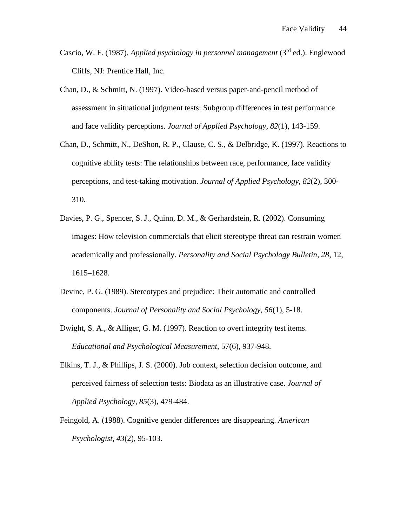- Cascio, W. F. (1987). *Applied psychology in personnel management* (3rd ed.). Englewood Cliffs, NJ: Prentice Hall, Inc.
- Chan, D., & Schmitt, N. (1997). Video-based versus paper-and-pencil method of assessment in situational judgment tests: Subgroup differences in test performance and face validity perceptions. *Journal of Applied Psychology, 82*(1), 143-159.
- Chan, D., Schmitt, N., DeShon, R. P., Clause, C. S., & Delbridge, K. (1997). Reactions to cognitive ability tests: The relationships between race, performance, face validity perceptions, and test-taking motivation. *Journal of Applied Psychology, 82*(2), 300- 310.
- Davies, P. G., Spencer, S. J., Quinn, D. M., & Gerhardstein, R. (2002). Consuming images: How television commercials that elicit stereotype threat can restrain women academically and professionally. *Personality and Social Psychology Bulletin, 28*, 12, 1615–1628.
- Devine, P. G. (1989). Stereotypes and prejudice: Their automatic and controlled components. *Journal of Personality and Social Psychology, 56*(1), 5-18.
- Dwight, S. A., & Alliger, G. M. (1997). Reaction to overt integrity test items. *Educational and Psychological Measurement*, 57(6), 937-948.
- Elkins, T. J., & Phillips, J. S. (2000). Job context, selection decision outcome, and perceived fairness of selection tests: Biodata as an illustrative case. *Journal of Applied Psychology, 85*(3), 479-484.
- Feingold, A. (1988). Cognitive gender differences are disappearing. *American Psychologist, 43*(2), 95-103.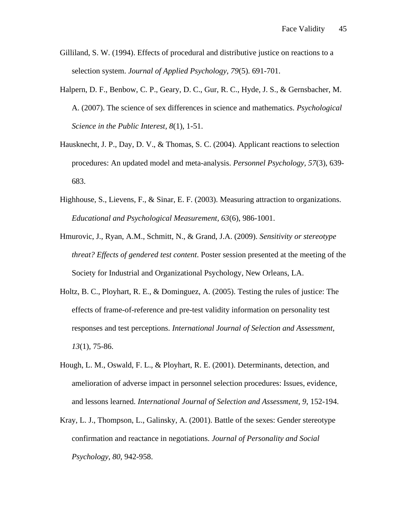- Gilliland, S. W. (1994). Effects of procedural and distributive justice on reactions to a selection system. *Journal of Applied Psychology, 79*(5). 691-701.
- Halpern, D. F., Benbow, C. P., Geary, D. C., Gur, R. C., Hyde, J. S., & Gernsbacher, M. A. (2007). The science of sex differences in science and mathematics. *Psychological Science in the Public Interest, 8*(1), 1-51.
- Hausknecht, J. P., Day, D. V., & Thomas, S. C. (2004). Applicant reactions to selection procedures: An updated model and meta-analysis. *Personnel Psychology, 57*(3), 639- 683.
- Highhouse, S., Lievens, F., & Sinar, E. F. (2003). Measuring attraction to organizations. *Educational and Psychological Measurement, 63*(6), 986-1001.
- Hmurovic, J., Ryan, A.M., Schmitt, N., & Grand, J.A. (2009). *Sensitivity or stereotype threat? Effects of gendered test content*. Poster session presented at the meeting of the Society for Industrial and Organizational Psychology, New Orleans, LA.
- Holtz, B. C., Ployhart, R. E., & Dominguez, A. (2005). Testing the rules of justice: The effects of frame-of-reference and pre-test validity information on personality test responses and test perceptions. *International Journal of Selection and Assessment, 13*(1), 75-86.
- Hough, L. M., Oswald, F. L., & Ployhart, R. E. (2001). Determinants, detection, and amelioration of adverse impact in personnel selection procedures: Issues, evidence, and lessons learned. *International Journal of Selection and Assessment, 9*, 152-194.
- Kray, L. J., Thompson, L., Galinsky, A. (2001). Battle of the sexes: Gender stereotype confirmation and reactance in negotiations. *Journal of Personality and Social Psychology, 80*, 942-958.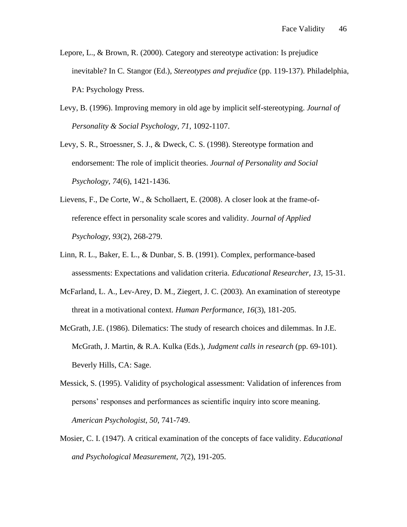- Lepore, L., & Brown, R. (2000). Category and stereotype activation: Is prejudice inevitable? In C. Stangor (Ed.), *Stereotypes and prejudice* (pp. 119-137). Philadelphia, PA: Psychology Press.
- Levy, B. (1996). Improving memory in old age by implicit self-stereotyping. *Journal of Personality & Social Psychology, 71*, 1092-1107.
- Levy, S. R., Stroessner, S. J., & Dweck, C. S. (1998). Stereotype formation and endorsement: The role of implicit theories. *Journal of Personality and Social Psychology, 74*(6), 1421-1436.
- Lievens, F., De Corte, W., & Schollaert, E. (2008). A closer look at the frame-ofreference effect in personality scale scores and validity. *Journal of Applied Psychology, 93*(2), 268-279.
- Linn, R. L., Baker, E. L., & Dunbar, S. B. (1991). Complex, performance-based assessments: Expectations and validation criteria. *Educational Researcher, 13*, 15-31.
- McFarland, L. A., Lev-Arey, D. M., Ziegert, J. C. (2003). An examination of stereotype threat in a motivational context. *Human Performance, 16*(3), 181-205.
- McGrath, J.E. (1986). Dilematics: The study of research choices and dilemmas. In J.E. McGrath, J. Martin, & R.A. Kulka (Eds.), *Judgment calls in research* (pp. 69-101). Beverly Hills, CA: Sage.
- Messick, S. (1995). Validity of psychological assessment: Validation of inferences from persons' responses and performances as scientific inquiry into score meaning. *American Psychologist, 50*, 741-749.
- Mosier, C. I. (1947). A critical examination of the concepts of face validity. *Educational and Psychological Measurement, 7*(2), 191-205.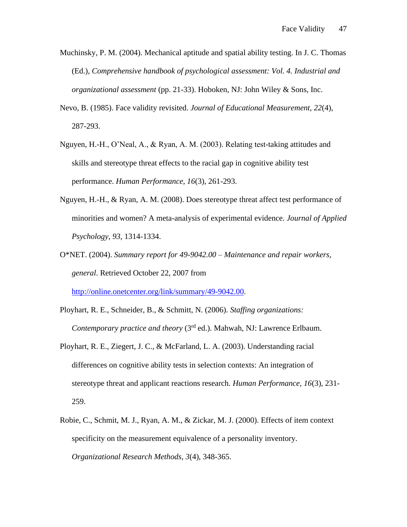- Muchinsky, P. M. (2004). Mechanical aptitude and spatial ability testing. In J. C. Thomas (Ed.), *Comprehensive handbook of psychological assessment: Vol. 4. Industrial and organizational assessment* (pp. 21-33). Hoboken, NJ: John Wiley & Sons, Inc.
- Nevo, B. (1985). Face validity revisited. *Journal of Educational Measurement, 22*(4), 287-293.
- Nguyen, H.-H., O'Neal, A., & Ryan, A. M. (2003). Relating test-taking attitudes and skills and stereotype threat effects to the racial gap in cognitive ability test performance. *Human Performance, 16*(3), 261-293.
- Nguyen, H.-H., & Ryan, A. M. (2008). Does stereotype threat affect test performance of minorities and women? A meta-analysis of experimental evidence. *Journal of Applied Psychology, 93*, 1314-1334.
- O\*NET. (2004). *Summary report for 49-9042.00 – Maintenance and repair workers, general*. Retrieved October 22, 2007 from

[http://online.onetcenter.org/link/summary/49-9042.00.](http://online.onetcenter.org/link/summary/49-9042.00)

- Ployhart, R. E., Schneider, B., & Schmitt, N. (2006). *Staffing organizations: Contemporary practice and theory* (3<sup>rd</sup> ed.). Mahwah, NJ: Lawrence Erlbaum.
- Ployhart, R. E., Ziegert, J. C., & McFarland, L. A. (2003). Understanding racial differences on cognitive ability tests in selection contexts: An integration of stereotype threat and applicant reactions research. *Human Performance, 16*(3), 231- 259.
- Robie, C., Schmit, M. J., Ryan, A. M., & Zickar, M. J. (2000). Effects of item context specificity on the measurement equivalence of a personality inventory. *Organizational Research Methods, 3*(4), 348-365.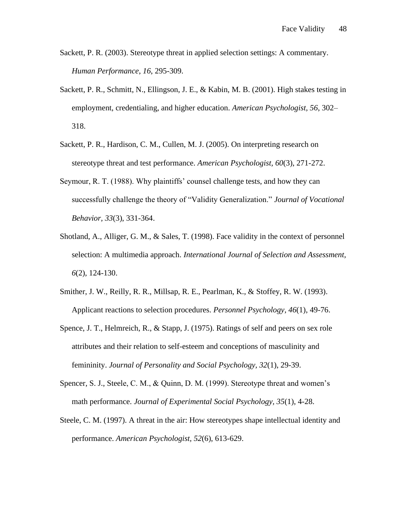- Sackett, P. R. (2003). Stereotype threat in applied selection settings: A commentary. *Human Performance*, *16*, 295-309.
- Sackett, P. R., Schmitt, N., Ellingson, J. E., & Kabin, M. B. (2001). High stakes testing in employment, credentialing, and higher education. *American Psychologist, 56*, 302– 318.
- Sackett, P. R., Hardison, C. M., Cullen, M. J. (2005). On interpreting research on stereotype threat and test performance. *American Psychologist, 60*(3), 271-272.
- Seymour, R. T. (1988). Why plaintiffs' counsel challenge tests, and how they can successfully challenge the theory of "Validity Generalization." *Journal of Vocational Behavior, 33*(3), 331-364.
- Shotland, A., Alliger, G. M., & Sales, T. (1998). Face validity in the context of personnel selection: A multimedia approach. *International Journal of Selection and Assessment, 6*(2), 124-130.
- Smither, J. W., Reilly, R. R., Millsap, R. E., Pearlman, K., & Stoffey, R. W. (1993). Applicant reactions to selection procedures. *Personnel Psychology, 46*(1), 49-76.
- Spence, J. T., Helmreich, R., & Stapp, J. (1975). Ratings of self and peers on sex role attributes and their relation to self-esteem and conceptions of masculinity and femininity. *Journal of Personality and Social Psychology, 32*(1), 29-39.
- Spencer, S. J., Steele, C. M., & Quinn, D. M. (1999). Stereotype threat and women's math performance. *Journal of Experimental Social Psychology, 35*(1), 4-28.
- Steele, C. M. (1997). A threat in the air: How stereotypes shape intellectual identity and performance. *American Psychologist, 52*(6), 613-629.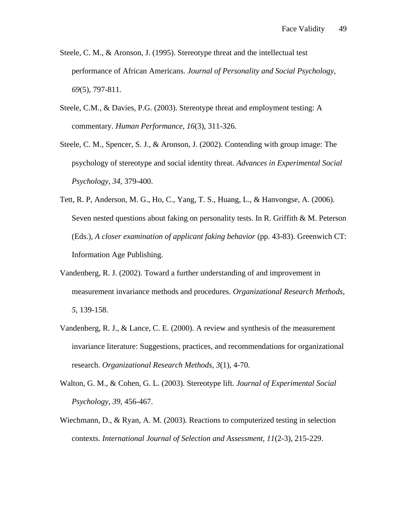- Steele, C. M., & Aronson, J. (1995). Stereotype threat and the intellectual test performance of African Americans. *Journal of Personality and Social Psychology, 69*(5), 797-811.
- Steele, C.M., & Davies, P.G. (2003). Stereotype threat and employment testing: A commentary. *Human Performance, 16*(3), 311-326.
- Steele, C. M., Spencer, S. J., & Aronson, J. (2002). Contending with group image: The psychology of stereotype and social identity threat. *Advances in Experimental Social Psychology, 34*, 379-400.
- Tett, R. P, Anderson, M. G., Ho, C., Yang, T. S., Huang, L., & Hanvongse, A. (2006). Seven nested questions about faking on personality tests. In R. Griffith & M. Peterson (Eds.), *A closer examination of applicant faking behavior* (pp. 43-83). Greenwich CT: Information Age Publishing.
- Vandenberg, R. J. (2002). Toward a further understanding of and improvement in measurement invariance methods and procedures. *Organizational Research Methods, 5*, 139-158.
- Vandenberg, R. J., & Lance, C. E. (2000). A review and synthesis of the measurement invariance literature: Suggestions, practices, and recommendations for organizational research. *Organizational Research Methods, 3*(1), 4-70.
- Walton, G. M., & Cohen, G. L. (2003). Stereotype lift. *Journal of Experimental Social Psychology, 39*, 456-467.
- Wiechmann, D., & Ryan, A. M. (2003). Reactions to computerized testing in selection contexts. *International Journal of Selection and Assessment, 11*(2-3), 215-229.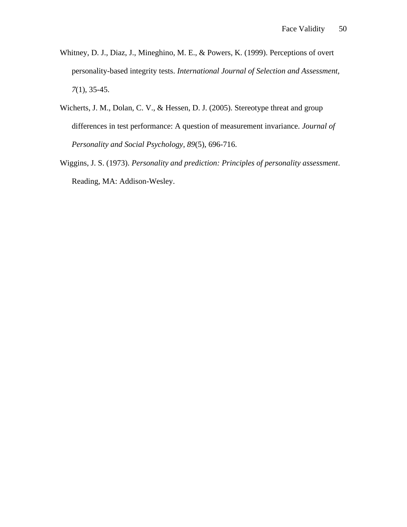- Whitney, D. J., Diaz, J., Mineghino, M. E., & Powers, K. (1999). Perceptions of overt personality-based integrity tests. *International Journal of Selection and Assessment, 7*(1), 35-45.
- Wicherts, J. M., Dolan, C. V., & Hessen, D. J. (2005). Stereotype threat and group differences in test performance: A question of measurement invariance. *Journal of Personality and Social Psychology, 89*(5), 696-716.
- Wiggins, J. S. (1973). *Personality and prediction: Principles of personality assessment*. Reading, MA: Addison-Wesley.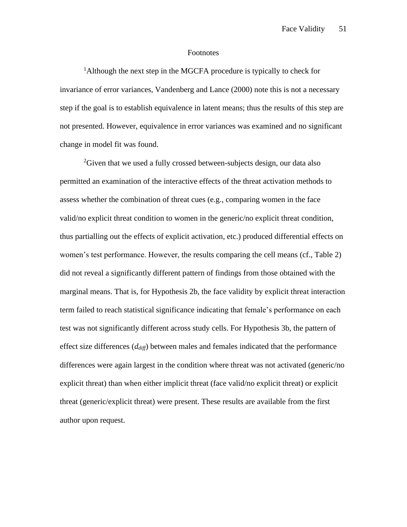### Footnotes

<sup>1</sup>Although the next step in the MGCFA procedure is typically to check for invariance of error variances, Vandenberg and Lance (2000) note this is not a necessary step if the goal is to establish equivalence in latent means; thus the results of this step are not presented. However, equivalence in error variances was examined and no significant change in model fit was found.

<sup>2</sup>Given that we used a fully crossed between-subjects design, our data also permitted an examination of the interactive effects of the threat activation methods to assess whether the combination of threat cues (e.g., comparing women in the face valid/no explicit threat condition to women in the generic/no explicit threat condition, thus partialling out the effects of explicit activation, etc.) produced differential effects on women's test performance. However, the results comparing the cell means (cf., Table 2) did not reveal a significantly different pattern of findings from those obtained with the marginal means. That is, for Hypothesis 2b, the face validity by explicit threat interaction term failed to reach statistical significance indicating that female's performance on each test was not significantly different across study cells. For Hypothesis 3b, the pattern of effect size differences (*ddiff*) between males and females indicated that the performance differences were again largest in the condition where threat was not activated (generic/no explicit threat) than when either implicit threat (face valid/no explicit threat) or explicit threat (generic/explicit threat) were present. These results are available from the first author upon request.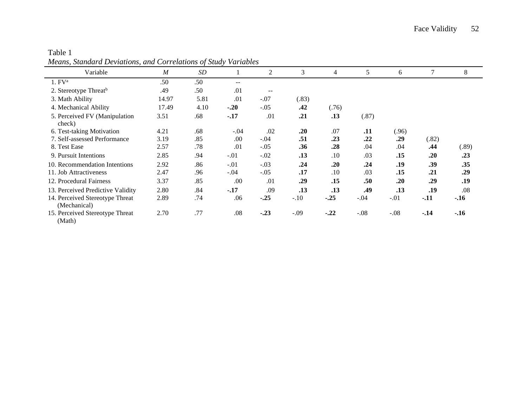| means, Sumaara Deviations, and Correlations of Sulay Variables |       |      |        |                          |        |        |        |        |       |        |
|----------------------------------------------------------------|-------|------|--------|--------------------------|--------|--------|--------|--------|-------|--------|
| Variable                                                       | M     | SD   |        | $\overline{c}$           | 3      | 4      | 5      | 6      | 7     | 8      |
| 1. FV <sup>a</sup>                                             | .50   | .50  | $- -$  |                          |        |        |        |        |       |        |
| 2. Stereotype Threat <sup>b</sup>                              | .49   | .50  | .01    | $\overline{\phantom{m}}$ |        |        |        |        |       |        |
| 3. Math Ability                                                | 14.97 | 5.81 | .01    | $-.07$                   | (.83)  |        |        |        |       |        |
| 4. Mechanical Ability                                          | 17.49 | 4.10 | $-.20$ | $-.05$                   | .42    | (.76)  |        |        |       |        |
| 5. Perceived FV (Manipulation<br>check)                        | 3.51  | .68  | $-.17$ | .01                      | .21    | .13    | (.87)  |        |       |        |
| 6. Test-taking Motivation                                      | 4.21  | .68  | $-.04$ | .02                      | .20    | .07    | .11    | (.96)  |       |        |
| 7. Self-assessed Performance                                   | 3.19  | .85  | .00    | $-.04$                   | .51    | .23    | .22    | .29    | (.82) |        |
| 8. Test Ease                                                   | 2.57  | .78  | .01    | $-.05$                   | .36    | .28    | .04    | .04    | .44   | (.89)  |
| 9. Pursuit Intentions                                          | 2.85  | .94  | $-.01$ | $-.02$                   | .13    | .10    | .03    | .15    | .20   | .23    |
| 10. Recommendation Intentions                                  | 2.92  | .86  | $-.01$ | $-.03$                   | .24    | .20    | .24    | .19    | .39   | .35    |
| 11. Job Attractiveness                                         | 2.47  | .96  | $-.04$ | $-.05$                   | .17    | .10    | .03    | .15    | .21   | .29    |
| 12. Procedural Fairness                                        | 3.37  | .85  | .00    | .01                      | .29    | .15    | .50    | .20    | .29   | .19    |
| 13. Perceived Predictive Validity                              | 2.80  | .84  | $-.17$ | .09                      | .13    | .13    | .49    | .13    | .19   | .08    |
| 14. Perceived Stereotype Threat<br>(Mechanical)                | 2.89  | .74  | .06    | $-.25$                   | $-.10$ | $-.25$ | $-.04$ | $-.01$ | $-11$ | $-.16$ |
| 15. Perceived Stereotype Threat<br>(Math)                      | 2.70  | .77  | .08    | $-.23$                   | $-.09$ | $-.22$ | $-.08$ | $-.08$ | $-14$ | $-.16$ |

Table 1 *Means, Standard Deviations, and Correlations of Study Variables*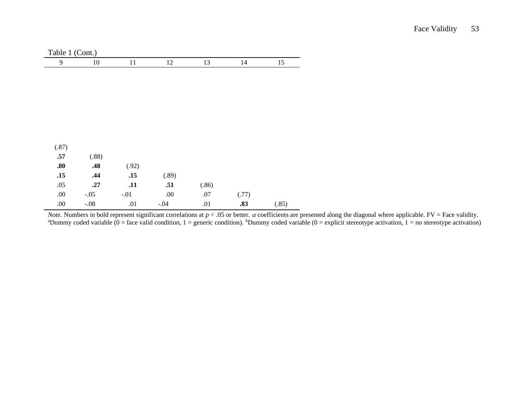| Table 1 (Cont.) |        |        |         |       |       |       |
|-----------------|--------|--------|---------|-------|-------|-------|
| 9               | $10\,$ | 11     | 12      | 13    | 14    | 15    |
|                 |        |        |         |       |       |       |
|                 |        |        |         |       |       |       |
|                 |        |        |         |       |       |       |
|                 |        |        |         |       |       |       |
|                 |        |        |         |       |       |       |
|                 |        |        |         |       |       |       |
|                 |        |        |         |       |       |       |
|                 |        |        |         |       |       |       |
| (.87)           |        |        |         |       |       |       |
| .57             | (.88)  |        |         |       |       |       |
| .80             | .48    | (.92)  |         |       |       |       |
| .15             | .44    | .15    | (.89)   |       |       |       |
| .05             | .27    | .11    | .51     | (.86) |       |       |
| $.00\,$         | $-.05$ | $-.01$ | $.00\,$ | $.07$ | (.77) |       |
|                 |        |        |         |       |       |       |
| .00.            | $-.08$ | .01    | $-.04$  | .01   | .83   | (.85) |

*Note.* Numbers in bold represent significant correlations at  $p < .05$  or better.  $\alpha$  coefficients are presented along the diagonal where applicable. FV = Face validity. <sup>a</sup>Dummy coded variable  $(0 = face$  valid condition,  $1 = generic$  condition). <sup>b</sup>Dummy coded variable  $(0 = explicit$  stereotype activation,  $1 = no$  stereotype activation)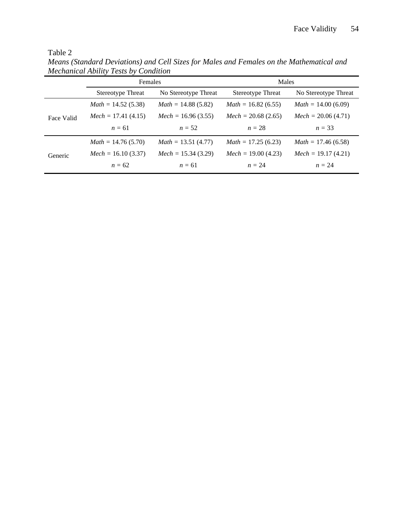| n<br>. . |  |
|----------|--|
|----------|--|

*Means (Standard Deviations) and Cell Sizes for Males and Females on the Mathematical and Mechanical Ability Tests by Condition*

|            | Females                  |                       | Males                    |                       |  |
|------------|--------------------------|-----------------------|--------------------------|-----------------------|--|
|            | <b>Stereotype Threat</b> | No Stereotype Threat  | <b>Stereotype Threat</b> | No Stereotype Threat  |  |
|            | $Math = 14.52(5.38)$     | $Math = 14.88(5.82)$  | $Math = 16.82(6.55)$     | $Math = 14.00(6.09)$  |  |
| Face Valid | $Mech = 17.41(4.15)$     | $Mech = 16.96 (3.55)$ | $Mech = 20.68(2.65)$     | $Mech = 20.06 (4.71)$ |  |
|            | $n = 61$                 | $n=52$                | $n=28$                   | $n = 33$              |  |
|            | $Math = 14.76(5.70)$     | $Math = 13.51 (4.77)$ | $Math = 17.25(6.23)$     | $Math = 17.46(6.58)$  |  |
| Generic    | $Mech = 16.10 (3.37)$    | $Mech = 15.34 (3.29)$ | $Mech = 19.00 (4.23)$    | $Mech = 19.17(4.21)$  |  |
|            | $n = 62$                 | $n = 61$              | $n=24$                   | $n=24$                |  |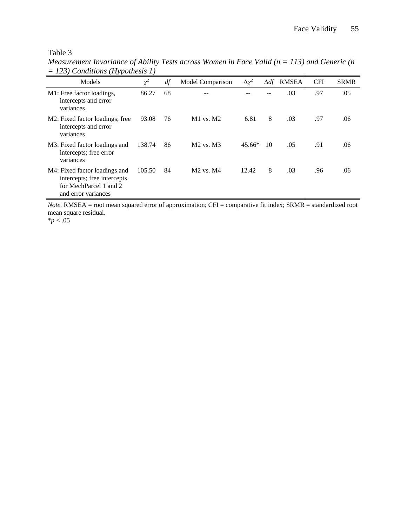# Table 3

| <i>Measurement Invariance of Ability Tests across Women in Face Valid (<math>n = 113</math>) and Generic (n</i> |  |  |
|-----------------------------------------------------------------------------------------------------------------|--|--|
| $=$ 123) Conditions (Hypothesis 1)                                                                              |  |  |

| $1207$ Continuous (11 yponicals 1)                                                                            |          |    |                  |                 |             |              |            |             |
|---------------------------------------------------------------------------------------------------------------|----------|----|------------------|-----------------|-------------|--------------|------------|-------------|
| Models                                                                                                        | $\chi^2$ | df | Model Comparison | $\Delta \chi^2$ | $\Delta df$ | <b>RMSEA</b> | <b>CFI</b> | <b>SRMR</b> |
| M1: Free factor loadings,<br>intercepts and error<br>variances                                                | 86.27    | 68 |                  |                 |             | .03          | .97        | .05         |
| M2: Fixed factor loadings; free<br>intercepts and error<br>variances                                          | 93.08    | 76 | $M1$ vs. $M2$    | 6.81            | 8           | .03          | .97        | .06         |
| M3: Fixed factor loadings and<br>intercepts; free error<br>variances                                          | 138.74   | 86 | $M2$ vs. $M3$    | $45.66*$        | 10          | .05          | .91        | .06         |
| M4: Fixed factor loadings and<br>intercepts; free intercepts<br>for MechParcel 1 and 2<br>and error variances | 105.50   | 84 | $M2$ vs. $M4$    | 12.42           | 8           | .03          | .96        | .06         |

*Note.* RMSEA = root mean squared error of approximation; CFI = comparative fit index; SRMR = standardized root mean square residual.

\**p* < .05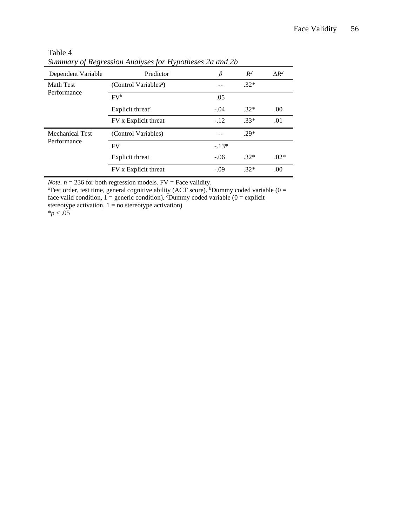|                                 | $summin$ y $o$ in $g$ is in the property of the politicial $z_0$ |         |        |              |
|---------------------------------|------------------------------------------------------------------|---------|--------|--------------|
| Dependent Variable              | Predictor                                                        | β       | $R^2$  | $\Delta R^2$ |
| <b>Math Test</b><br>Performance | (Control Variables <sup>a</sup> )                                |         | $.32*$ |              |
|                                 | $\mathbf{F}V^b$                                                  | .05     |        |              |
|                                 | Explicit threat <sup>c</sup>                                     | $-.04$  | $.32*$ | .00          |
|                                 | FV x Explicit threat                                             | $-.12$  | $.33*$ | .01          |
| Mechanical Test<br>Performance  | (Control Variables)                                              |         | $.29*$ |              |
|                                 | <b>FV</b>                                                        | $-.13*$ |        |              |
|                                 | Explicit threat                                                  | $-.06$  | $.32*$ | $.02*$       |
|                                 | FV x Explicit threat                                             | $-.09$  | $.32*$ | .00          |

Table 4 *Summary of Regression Analyses for Hypotheses 2a and 2b*

*Note.*  $n = 236$  for both regression models.  $FV = Face$  validity.

<sup>a</sup>Test order, test time, general cognitive ability (ACT score). <sup>b</sup>Dummy coded variable (0 = face valid condition,  $1 =$  generic condition). <sup>c</sup>Dummy coded variable ( $0 =$  explicit stereotype activation,  $1 = no$  stereotype activation) \**p* < .05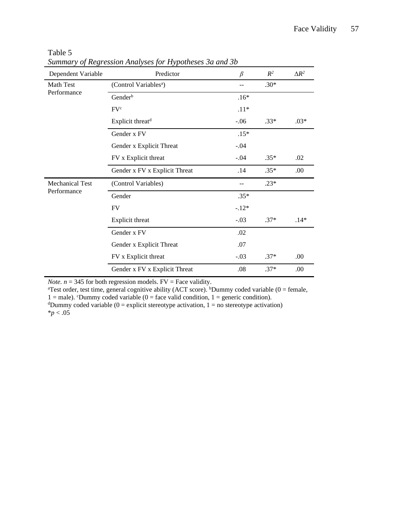| Dependent Variable     | Predictor                         | $\beta$ | $R^2$  | $\Delta R^2$ |
|------------------------|-----------------------------------|---------|--------|--------------|
| Math Test              | (Control Variables <sup>a</sup> ) | --      | $.30*$ |              |
| Performance            | Gender <sup>b</sup>               | $.16*$  |        |              |
|                        | FV <sup>c</sup>                   | $.11*$  |        |              |
|                        | Explicit threat <sup>d</sup>      | $-.06$  | $.33*$ | $.03*$       |
|                        | Gender x FV                       | $.15*$  |        |              |
|                        | Gender x Explicit Threat          | $-.04$  |        |              |
|                        | FV x Explicit threat              | $-.04$  | $.35*$ | .02          |
|                        | Gender x FV x Explicit Threat     | .14     | $.35*$ | .00          |
| <b>Mechanical Test</b> | (Control Variables)               |         | $.23*$ |              |
| Performance            | Gender                            | $.35*$  |        |              |
|                        | <b>FV</b>                         | $-.12*$ |        |              |
|                        | Explicit threat                   | $-.03$  | $.37*$ | $.14*$       |
|                        | Gender x FV                       | .02     |        |              |
|                        | Gender x Explicit Threat          | .07     |        |              |
|                        | FV x Explicit threat              | $-.03$  | $.37*$ | .00          |
|                        | Gender x FV x Explicit Threat     | .08     | $.37*$ | .00          |

Table 5 *Summary of Regression Analyses for Hypotheses 3a and 3b*

*Note.*  $n = 345$  for both regression models.  $FV = Face$  validity.

<sup>a</sup>Test order, test time, general cognitive ability (ACT score). <sup>b</sup>Dummy coded variable (0 = female, 1 = male). CDummy coded variable (0 = face valid condition, 1 = generic condition).

<sup>d</sup>Dummy coded variable (0 = explicit stereotype activation, 1 = no stereotype activation) \**p* < .05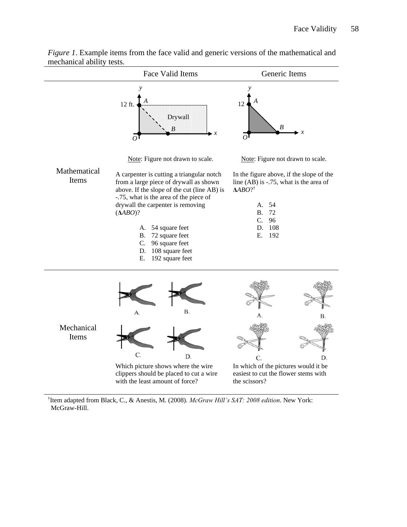

*Figure 1*. Example items from the face valid and generic versions of the mathematical and mechanical ability tests.

† Item adapted from Black, C., & Anestis, M. (2008). *McGraw Hill's SAT: 2008 edition*. New York: McGraw-Hill.